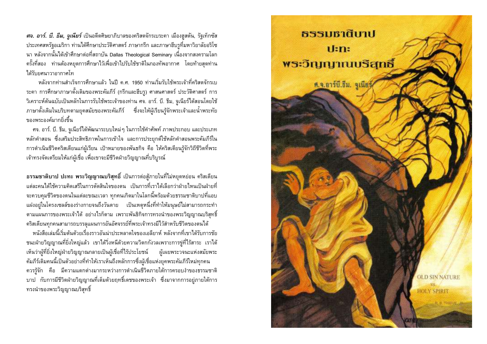ี ศจ. อาร์. บี. ธีม, จูเนียร์ เป็นอดีตศิษยาภิบาลของคริสตจักรเบระคา เมืองฮูสตัน, รัฐเท็กซัส ประเทศสหรัฐอเมริกา ท่านได้ศึกษาประวัติศาสตร์ ภาษากรีก และภาษาฮีบรูที่มหาวิยาลัยอริโซ ี นา หลังจากนั้นได้เข้าศึกษาต่อที่สถาบัน Dallas Theological Seminary เนื่องจากสงครามโลก ้ครั้งที่สอง ท่านต้องหยุดการศึกษาไว้เพื่อเข้าไปรับใช้ชาติในกองทัพอากาศ โดยท้ายสุดท่าน ได้รับยศนาวาอากาศโท

หลังจากท่านสำเร็จการศึกษาแล้ว ในปี ด.ศ. 1950 ท่านเริ่มรับใช้พระเจ้าที่ดริสตจักรเบ ระคา การศึกษาภาษาดั้งเดิมของพระคัมภีร์ (กรีกและฮีบรู) ศาสนศาสตร์ ประวัติศาสตร์ การ วิเคราะห์ต้นฉบับเป็นหลักในการรับใช้พระเจ้าของท่าน ศจ. อาร์. บี. ธีม, จูเนียร์ได้สอนโดยใช้ ี ภาษาดั้งเดิมในบริบทตามยคสมัยของพระคัมภีร์ ซึ่งจะให้ผ้เรียนรัจักพระเจ้าและน้ำพระทัย ของพระองค์มากยิ่งขึ้น

้ศจ. อาร์. บี. ธีม, จูเนียร์ได้พัฒนาระบบใหม่ๆ ในการใช้คำศัพท์ ภาพประกอบ และประเภท หลักคำสอน ซึ่งเสริมประสิทธิภาพในการเข้าใจ และการประยุกต์ใช้หลักคำสอนพระคัมภีร์ใน ่ การดำเนินชีวิตคริสเตียนแก่ผู้เรียน เป้าหมายของพันธกิจ คือ ให้คริสเตียนรู้จักวิถีชีวิตที่พระ ้เจ้าทรงจัดเตรียมให้แก่ผู้เชื่อ เพื่อเขาจะมีชีวิตฝ่ายวิญญาณที่บริบูรณ์

ี ธรรมชาติบาป ปะทะ พระวิญญาณบริสุทธิ์ เป็นการต่อสู้ภายในที่ไม่หยุดหย่อน คริสเตียน ้ แต่ละคนได้ใช้ความคิดเสรีในการตัดสินใจของตน เป็นการที่เราได้เลือกว่าฝ่ายไหนเป็นฝ่ายที่ ้ จะควบคุมชีวิตของตนในแต่ละขณะเวลา ทุกคนเกิดมาในโลกนี้พร้อมด้วยธรรมชาติบาปที่แอบ แฝงอยู่ในโครงเซลล์ของร่างกายจนถึงวันตาย เป็นเหตุหนึ่งที่ทำให้มนุษย์ไม่สามารถกระทำ ี่ ตามแผนการของพระเจ้าได้ อย่างไรก็ตาม เพราะพันธิกิจการทรงนำของพระวิญญาณบริสุทธิ์ ้คริสเตียนทุกคนสามารถบรรลุแผนการอันอัศจรรย์ที่พระเจ้าทรงมีไว้สำหรับชีวิตของตนได้

หนังสือเล่มนี้เริ่มต้นด้วยเรื่องราวอันน่าประหลาดใจของเอลียาห์ หลังจากที่เขาได้รับการชัย ี ชนะฝ่ายวิญญาณที่ยิ่งใหญ่แล้ว เขาได้วิ่งหนีด้วยความวิตกกังวลเพราะการขู่ที่ไร้สาระ เราได้ ้เห็นว่าผู้ที่ยิ่งใหญ่ฝ่ายวิญญาณกลายเป็นผู้เชื่อที่ไร้ประโยชน์ ผู้เผยพระวจนะแห่งสมัยพระ ้คัมภีร์เดิมคนนี้เป็นตัวอย่างที่ทำให้เราเห็นถึงหลักการซึ่งผู้เชื่อแห่งยุคพระคัมภีร์ใหม่ทุกคน ี ควรรัจัก คือ มีความแตกต่างมากระหว่างการดำเนินชีวิตภายใต้การครอบงำของธรรมชาติ ้บาป กับการมีชีวิตฝ่ายวิญญาณที่เต็มด้วยฤทธิ์เดชของพระเจ้า ซึ่งมาจากการอยู่ภายใต้การ ทรงนำของพระวิญญาณบริสุทธิ์

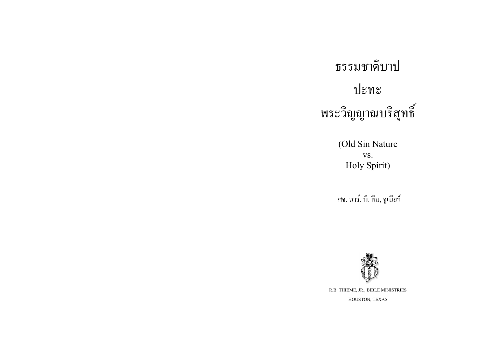# ธรรมชาติบาป ปะทะ พระวิญญาณบริสุทธิ์

(Old Sin Nature vs. Holy Spirit)

ศจ. อาร์. บี. ธีม, จูเนียร์



R.B. THIEME, JR., BIBLE MINISTRIES HOUSTON, TEXAS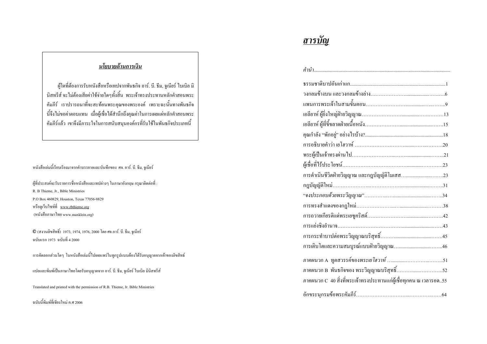#### นโยบายด้านการเงิน

ผู้ใดที่ต้องการรับหนังสือหรือเทปจากพันธกิจ อาร์. บี. ธีม, จูเนียร์ ไบเบิล มิ นิสทรีส์ จะไม่ต้องเสียค่าใช้จ่ายใดๆทั้งสิ้น พระเจ้าทรงประทานหลักคำสอนพระ คัมภีร์ เราปรารถนาที่จะสะท้อนพระคุณของพระองค์ เพราะฉะนั้นทางพันธกิจ นี้จึงไม่ขอค่าตอบแทน เมื่อผู้เชื่อได้สำนึกถึงคุณค่าในการเผยแผ่หลักคำสอนพระ คัมภีร์แล้ว เขาจึงมีภาระใจในการสนับสนุนองค์กรที่รับใช้ในพันธกิจประเภทนี้

หนังสือเล่มนี้เรียบเรียงมาจากคำบรรยายและบันทึกของ ศจ. อาร์. บี. ธีม, จูเนียร์

ผู้ที่ประสงค์จะรับรายการชื่อหนังสือและเทปต่างๆ ในภาษาอังกฤษ กรุณาติดต่อที่ : R. B Thieme, Jr., Bible Ministries P.O Box 460829, Houston, Texas 77056-8829 หรือดูเว็บไซท์ที่ www.rbthieme.org (หนังสือภาษาไทย www.maxklein.org)

 $\mathbb O$  (สงวนลิขสิทธิ์) 1973, 1974, 1976, 2000 โดย ศจ.อาร์. บี. ธีม, จูเนียร์  $\hat{\mathfrak{n}}$ บับแรก 1973  $\hat{\mathfrak{n}}$ บับที่ 4 2000

การคัดลอกส่วนใดๆ ในหนังสือเล่มนี้ไปเผยแพร่ในทูกรูปแบบต้องได้รับอนุญาตจากเจ้าของลิขสิทธ์

แปลและพิมพ์เป็นภาษาไทยโคยรับอนุญาตจาก อาร์. บี. ธีม, จูเนียร์ ไบเบิล มินิสทรีส์

Translated and printed with the permission of R.B. Thieme, Jr. Bible Ministries

ิ ฉบับนี้พิมพ์ที่เชียงใหม่ ค.ศ 2006

## <u>สารบัญ</u>

| ภาคผนวก C  40 สิ่งที่พระเจ้าทรงประทานแก่ผู้เชื่อทุกคน ณ เวลารอด55 |
|-------------------------------------------------------------------|
|                                                                   |
|                                                                   |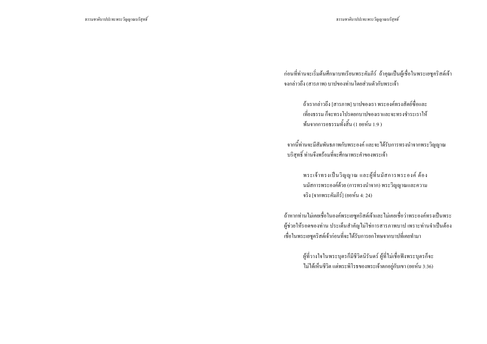ก่อนที่ท่านจะเริ่มต้นศึกษาบทเรียนพระกัมภีร์ ถ้าคุณเป็นผู้เชื่อในพระเยซูคริสต์เจ้า จงกล่าวถึง (สารภาพ) บาปของท่านโดยส่วนตัวกับพระเจ้า

> ถ้าเรากล่าวถึง [สารภาพ] บาปของเรา พระองค์ทรงสัตย์ซื่อและ เที่ยงธรรม ก็จะทรงโปรดยกบาปของเราและจะทรงชำระเราให้ พ้นจากการอธรรมทั้งสิ้น (1 ยอห์น 1:9 )

จากนี้ท่านจะมีสัมพันธภาพกับพระองค์ และจะ ได้รับการทรงนำจากพระวิญญาณ บริสุทธิ์ ท่านจึงพร้อมที่จะศึกษาพระคำของพระเจ้า

พระเจ้าทรงเป็นวิญญาณ และผู้ที่นมัสการพระองค์ ค้อง นมัสการพระองค์ด้วย (การทรงนำจาก) พระวิญญาณและความ ึ่งริง (จากพระคัมภีร์) (ยอห์น 4: 24)

ถ้าหากท่านไม่เคยเชื่อในองค์พระเยซูคริสต์เจ้าและไม่เคยเชื่อว่าพระองค์ทรงเป็นพระ ผู้ช่วยให้รอดของท่าน ประเด็นสำคัญใม่ใช่การสารภาพบาป เพราะท่านจำเป็นต้อง เชื่อในพระเยซูกริสต์เจ้าก่อนที่จะได้รับการยกโทษจากบาปที่เคยทำมา

> ผู้ที่วางใจในพระบุตรก็มีชีวิตนิรันคร์ ผู้ที่ไม่เชื่อฟังพระบุตรก็จะ ไม่ได้เห็นชีวิต แต่พระพิโรธของพระเจ้าตกอยู่กับเขา (ยอห์น 3:36)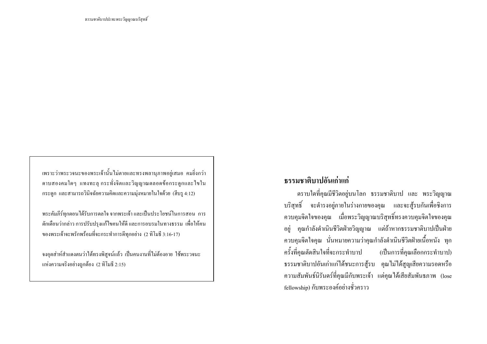เพราะว่าพระวจนะของพระเจ้านั้นไม่ตายและทรงพลานุภาพอยู่เสมอ คมยิ่งกว่า ิดาบสองคมใคๆ แทงทะลุกระทั่งจิตและวิญญาณตลอดข้อกระดูกและไขใน ึกระดูก และสามารถวินิจฉัยความคิดและความมุ่งหมายในใจด้วย (ฮีบรุ 4:12)

พระคัมภีร์ทุกตอนใด้รับการดลใจ จากพระเจ้า และเป็นประ โยชน์ในการสอน การ ดักเดือนว่ากล่าว การปรับปรุงแก้ไขคนให้ดี และการอบรมในทางธรรม เพื่อให้คน ของพระเจ้าจะพรักพร้อมที่จะกระทำการคีทุกอย่าง (2 ทิโมธี 3:16-17)

้จงอุตส่าห์สำแดงตนว่าได้ทรงพิสูจน์แล้ว เป็นคนงานที่ไม่ต้องอาย ใช้พระวจนะ แห่งความจริงอย่างถูกต้อง (2 ทิโมธี 2:15)

## ิธรรมชาติบาปอันเก่าแก่

้ตราบใดที่คุณมีชีวิตอยู่บนโลก ธรรมชาติบาป และ พระวิญญาณ บริสุทธิ์ จะคำรงอยู่ภายในร่างกายของคุณ และจะสู้รบกันเพื่อชิงการ ควบคุมจิตใจของคุณ เมื่อพระวิญญาณบริสุทธิ์ทรงควบคุมจิตใจของคุณ อยู่ คุณกำลังคำเนินชีวิตฝ่ายวิญญาณ แต่ถ้าหากธรรมชาติบาปเป็นฝ่าย ี ควบคุมจิตใจคุณ นั่นหมายความว่าคุณกำลังดำเนินชีวิตฝ่ายเนื้อหนัง ทุก ครั้งที่คุณตัดสินใจที่จะกระทำบาป (เป็นการที่คุณเลือกกระทำบาป) ธรรมชาติบาปอันเก่าแก่ได้ชนะการสู้รบ คุณไม่ได้สูญเสียความรอดหรือ ความสัมพันธ์นิรันดร์ที่คุณมีกับพระเจ้า แต่คุณใด้เสียสัมพันธภาพ (lose fellowship) กับพระองค์อย่างชั่วคราว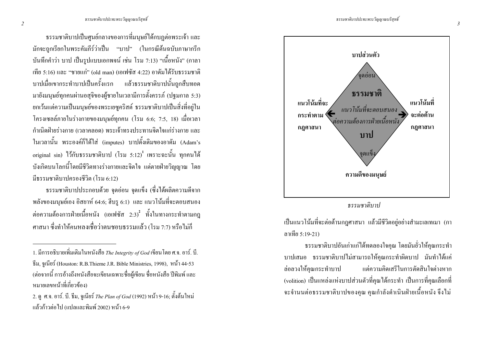



ธรรมชาติบาปประกอบด้วย จุดอ่อน จุดแข็ง (ซึ่งใด้ผลิตความดีจาก พลังของมนุษย์เอง อิสยาห์ 64:6; ฮีบรู 6:1) และ แนวโน้มที่จะตอบสนอง ค่อความต้องการฝ่ายเนื้อหนัง (เอเฟซัส 2:3)<sup>2</sup> ทั้งในทางกระทำตามกฎ ี่ ศาสนา ซึ่งทำให้คนหลงเชื่อว่าตนชอบธรรมแล้ว (โรม 7:7) หรือไม่ก็



ธรรมชาติบาบ

้เป็นแนวโน้มที่จะต่อต้านกฎศาสนา แล้วมีชีวิตอยู่อย่างสำมะเลเทเมา (กา ลาเทีย 5:19-21)

ี ธรรมชาติบาปอันเก่าแก่ได้ทดลองใจคุณ โดยมันยั่วให้คุณกระทำ ้บาปเสมอ ธรรมชาติบาปใม่สามารถให้คณกระทำผิดบาป มันทำได้แค่ แต่ความคิดเสรีใบการตัดสิบใจต่างหาก ล่อลวงให้คณกระทำบาป (volition) เป็นแหล่งแห่งบาปส่วนตัวที่คุณได้กระทำ เป็นการที่คุณเลือกที่ ้จะจำนนต่อธรรมชาติบาปของคุณ คุณกำลังคำเนินฝ่ายเนื้อหนัง จึงไม่

<sup>1.</sup> มีการอธิบายเพิ่มเติมในหนังสือ *The Integrity of God* เขียน โดย ศ.จ. อาร์. บี. ซึม, จูเนียร์ (Houston: R.B.Thieme J.R. Bible Ministries, 1998), หน้า 44-53 (ต่อจากนี้ การอ้างถึงหนังสือจะเขียนเฉพาะชื่อผู้เขียน ชื่อหนังสือ ปีพิมพ์ และ หมายเลขหบ้าที่เกี่ยวข้อง)

<sup>2.</sup> ดู ศ.จ. อาร์. บี. ธีม, จูเนียร์ *The Plan of God* (1992) หน้า 9-16; ตั้งต้นใหม่ แล้วก้าวต่อไป (แปลและพิมพ์ 2002) หน้า 6-9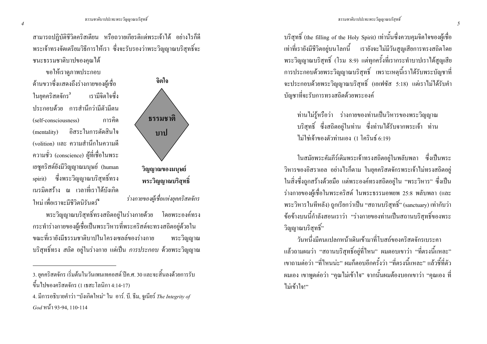สามารถปฏิบัติชีวิตคริสเตียน หรือถวายเกียรติแด่พระเจ้าได้ อย่างไรก็ดี พระเจ้าทรงจัดเตรียมวิธีการให้เรา ซึ่งจะรับรองว่าพระวิญญาณบริสุทธิ์จะ ชนะธรรมชาติบาปของคุณใด้

ขอให้เราดูภาพประกอบ ด้านขวาซึ่งแสดงถึงร่างกายของผู้เชื่อ ในยุคคริสตจักร<sup>3</sup> \_เราบีลิตใล่ซึ่ง ประกอบด้วย การสำนึกว่ามีตัวมีตน  $(self-conscionsness)$  การคิด  $($ mentality $)$  อิสระในการตัดสินใจ (volition) และ ความสำนึกใบความดี ึ ความชั่ว (conscience) ผู้ที่เชื่อในพระ เยซุคริสต์ยังมีวิญญาณมนุษย์ (human spirit) ซึ่งพระวิญญาณบริสุทธิ์ทรง ่ เบรบิตสร้าง ณ เวลาที่เราได้บังเกิด ใหม่ เพื่อเราจะมีชีวิตนิรันดร์<sup>4</sup>



<u>ร่างกายของผู้เชื่อแห่งยุคคริสตจักร</u>

พระวิญญาณบริสุทธิ์ทรงสถิตอยู่ในร่างกายด้วย โดยพระองค์ทรง กระทำร่างกายของผู้เชื่อเป็นพระวิหารที่พระคริสต์จะทรงสถิตอยู่ด้วยใน ขณะที่เรายังมีธรรมชาติบาปในโครงเซลล์ของร่างกาย พระวิญญา พระวิญญาณ บริสุทธิ์ทรง *สถิต* อยู่ในร่างกาย แต่เป็น *การประกอบ* ด้วยพระวิญญาณ

บริสุทธิ์ (the filling of the Holy Spirit) เท่านั้นซึ่งควบคุมจิตใจของผู้เชื่อ ่<br>เท่าที่เรายังมีชีวิตอยู่บนโลกนี้ เรายังจะไม่มีวันสูญเสียการทรงสถิตโดย พระวิญญาณบริสุทธิ์ (โรม 8:9) แต่ทุกครั้งที่เรากระทำบาปเราได้สูญเสีย การประกอบด้วยพระวิญญาณบริสุทธิ์ เพราะเหตุนี้เราได้รับพระบัญชาที่ จะประกอบด้วยพระวิญญาณบริสุทธิ์ (เอเฟซัส 5:18) แต่เราไม่ได้รับคำ ู บัญชาที่จะรับการทรงสถิตด้วยพระองค์

ท่านใม่รู้หรือว่า ร่างกายของท่านเป็นวิหารของพระวิญญาณ บริสุทธิ์ ซึ่งสถิตอยู่ในท่าน ซึ่งท่านใด้รับจากพระเจ้า ท่าน ใม่ใช่เจ้าของตัวท่านเอง (1 โครินธ์ 6:19)

ในสมัยพระคัมภีร์เคิมพระเจ้าทรงสถิตอยู่ในพลับพลา ซึ่งเป็นพระ วิหารของอิสราเอล อย่างไรก็ตาม ในยกกริสตจักรพระเจ้าไม่ทรงสถิตอย่ ในสิ่งซึ่งถูกสร้างด้วยมือ แต่พระองค์ทรงสถิตอยู่ใน "พระวิหาร" ซึ่งเป็น ร่างกายของผู้เชื่อในพระคริสต์ ในพระธรรมอพยพ 25:8 พลับพลา (และ พระวิหารในที่หลัง) ถูกเรียกว่าเป็น "สถานบริสุทธิ์" (sanctuary) เท่ากับว่า ข้อข้างบนนี้กำลังสอนเราว่า "ร่างกายของท่านเป็นสถานบริสุทธิ์ของพระ วิญญาณบริสุทธิ์<sup>์,</sup>

วันหนึ่งมีคนแปลกหน้าเดินเข้ามาที่โบสถ์ของคริสตจักรเบระคา แล้วถามผมว่า "สถานบริสุทธิ์อยู่ที่ไหน" ผมตอบเขาว่า "ที่ตรงนี้แหละ" :ขาถามต่อว่า "ที่ไหบปะ" ผมก็ตอบอีกครั้งว่า "ที่ตรงบี้แหละ" แล้วชี้ที่ตัว ี ผมเอง เขาพูดต่อว่า "คุณไม่เข้าใจ" จากนั้นผมต้องบอกเขาว่า "คุณเอง ที่ ไม่เข้าใจ!"

<sup>3.</sup> ขุคคริสตจักร เริ่มต้นในวันเพนเทคอสต์ ปีค.ศ. 30 และจะสิ้นลงด้วยการรับ ขึ้นไปของคริสตจักร (1 เธสะ โลนิกา 4:14-17)

<sup>4.</sup> มีการอธิบายคำว่า "บังเกิดใหม่" ใน อาร์. บี. ธีม, จูเนียร์ *The Integrity of*  $God$  หน้า 93-94, 110-114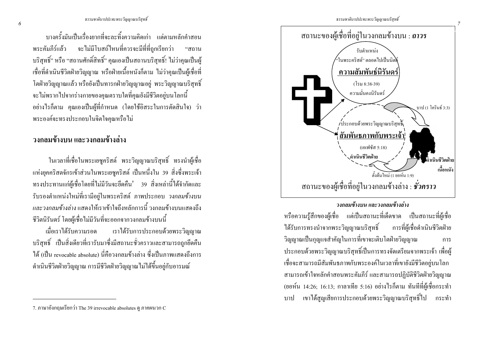

#### ้วงกลมข้างบน และวงกลมข้างล่าง

หรือความรู้สึกของผู้เชื้อ แต่เป็นสถานะที่เด็ดขาด เป็นสถานะที่ผู้เชื้อ ได้รับการทรงนำจากพระวิญญาณบริสทธิ์ ิ การที่ผู้เชื้อดำเนินชีวิตฝ่าย วิญญาณเป็นกุญแจสำคัญในการที่เขาจะเติบโตฝ่ายวิญญาณ การ ประกอบด้วยพระวิญญาณบริสุทธิ์เป็นการทรงจัดเตรียมจากพระเจ้า เพื่อผู้ เชื่อจะสามารถมีสัมพันธภาพกับพระองค์ในเวลาที่เขายังมีชีวิตอยู่บนโลก ี่ สามารถเข้าใจหลักคำสอนพระคัมภีร์ และสามารถปฏิบัติชีวิตฝ่ายวิญญาณ (ยอห์น 14:26; 16:13; กาลาเทีย 5:16) อย่างไรก็ตาม ทันทีที่ผู้เชื่อกระทำ เขาได้สูญเสียการประกอบด้วยพระวิญญาณบริสุทธิ์ไป กระทำ บาป

ำเางครั้งมันเป็นเรื่องยากที่จะละทิ้งความคิดเก่า แต่ตามหลักคำสอน จะไม่มีโบสถ์ใหนที่ควรจะมีที่ที่ถูกเรียกว่า พระคัมกีร์แล้ว "สถาน ้บริสุทธิ์" หรือ "สถานศักดิ์สิทธิ์" คุณเองเป็นสถานบริสุทธิ์! ไม่ว่าคุณเป็นผู้ ้เชื้อที่ดำเนินชีวิตฝ่ายวิญญาณ หรือฝ่ายเนื้อหนังก็ตาม ไม่ว่าคุณเป็นผู้เชื้อที่ โตฝ่ายวิญญาณแล้ว หรือยังเป็นทารกฝ่ายวิญญาณอยู่ พระวิญญาณบริสุทธิ์ ้จะไม่พรากไปจากร่างกายของคุณตราบใดที่คุณยังมีชีวิตอยู่บนโลกนี้ ่อย่างไรก็ตาม คุณเองเป็นผู้ที่กำหนด (โดยใช้อิสระในการตัดสินใจ) ว่า พระองค์จะทรงประกอบในจิตใจคุณหรือไม่

## ำงกลมข้างบน และวงกลมข้างล่าง

ในเวลาที่เชื่อในพระเยซูคริสต์ พระวิญญาณบริสุทธิ์ ทรงนำผู้เชื่อ แห่งยุคคริสตจักรเข้าส่วนในพระเยซูคริสต์ เป็นหนึ่งใน 39 สิ่งซึ่งพระเจ้า ทรงประทานแก่ผู้เชื่อโดยที่ไม่มีวันจะยึดคืน<sup>7</sup> 39 สิ่งเหล่านี้ได้จำกัดและ ้รับรองตำแหน่งใหม่ที่เรามือย่ในพระคริสต์ ภาพประกอบ *วงกลมข้างบน* ่ และวงกลมข้างล่าง แสดงให้เราเข้าใจถึงหลักการนี้ วงกลมข้างบนแสดงถึง ้ชีวิตนิรันคร์ โคยผู้เชื่อไม่มีวันที่จะออกจากวงกลมข้างบนนี้

้เมื่อเราได้รับความรอด เราได้รับการประกอบด้วยพระวิณฌาณ ิบริสุทธิ์ เป็นสิ่งเดียวที่เรารับมาซึ่งมีสถานะชั่วคราวและสามารถถูกยึดคืน ่ได้ (เป็น revocable absolute) นี่คือวงกลมข้างล่าง ซึ่งเป็นภาพแสดงถึงการ ี คำเนินชีวิตฝ่ายวิณณาณ การมีชีวิตฝ่ายวิณณาณไม่ได้ขึ้นอย่กับอารมณ์

<sup>7.</sup> ภาษาอังกฤษเรียกว่า The 39 irrevocable absolutes ค ภาคผนวก  $\mathbf C$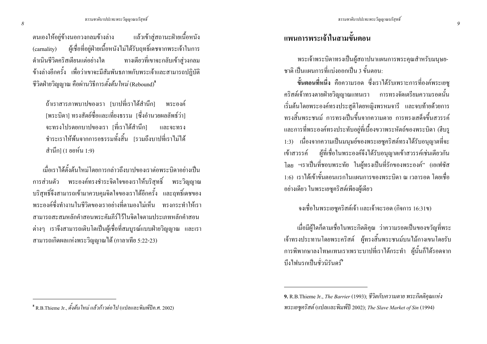แล้วเข้าสู่สถานะฝ่ายเนื้อหนัง ตนเองให้อยู่ข้างนอกวงกลมข้างล่าง ผู้เชื่อที่อยู่ฝ่ายเนื้อหนังไม่ได้รับฤทธิ์เคชจากพระเจ้าในการ (carnality) ดำเนินชีวิตคริสเตียนแต่อย่างใด ทางเดียวที่เขาจะกลับเข้าสู่วงกลม ข้างล่างอีกครั้ง เพื่อว่าเขาจะมีสัมพันธภาพกับพระเจ้าและสามารถปฏิบัติ ี่ ชีวิตฝ่ายวิณณาณ คือผ่านวิธีการ*ตั้งต้นใหม่* (Rebound)<sup>8</sup>

้ถ้าเราสารภาพบาปของเรา [บาปที่เราได้สำนึก] พระองค์ [พระบิดา] ทรงสัตย์ซื้อและเที่ยงธรรม [ซึ่งอำนวยผลลัพธ์ว่า] ่ จะทรงโปรดยกบาปของเรา [ที่เราได้สำนึก] และจะทรง ี ชำระเราให้พ้นจากการอธรรมทั้งสิ้น เรวมถึงบาปที่เราไม่ได้ ้สำนึก1 (1 ยอห์น 1:9)

เมื่อเราได้ตั้งต้นใหม่โดยการกล่าวถึงบาปของเราต่อพระบิดาอย่างเป็น ึการส่วนตัว พระองค์ทรงชำระจิตใจของเราให้บริสุทธิ์ พระวิญญาณ ิบริสุทธิ์จึงสามารถเข้ามาควบคุมจิตใจของเราได้อีกครั้ง และฤทธิ์เคชของ ี พระองค์ซึ่งทำงานในชีวิตของเราอย่างที่ตามองไม่เห็น ทรงกระทำให้เรา สามารถสะสมหลักคำสอบพระดัมกีร์ไว้ใบจิตใจตามประเภทหลักคำสอบ ี่ต่างๆ เราจึงสามารถเติบโตเป็นผู้เชื่อที่สมบูรณ์แบบฝ่ายวิญญาณ และเรา สามารถเกิดผลแห่งพระวิญญาณได้ (กาลาเทีย 5:22-23)

## ้แพนการพระเจ้าในสามขั้นตอน

พระเจ้าพระบิดาทรงเป็นผู้สถาปนาแผนการพระคุณสำหรับมนุษย-หาติ เป็นแผนการที่แบ่งออกเป็น 3 ขั้นตอน·

์ขั้นตอนที่หนึ่ง คือความรอด ซึ่งเราได้รับเพราะการที่องค์พระเยซู ้ คริสต์เจ้าทรงตายฝ่ายวิญญาณแทนเรา การทรงจัดเตรียมความรอดนั้น เริ่มต้นโดยพระองค์ทรงประสูติโดยหญิงพรหมจารี และจบท้ายด้วยการ ิทรงสิ้นพระชนม์ การทรงเป็นขึ้นจากความตาย การทรงเสด็จขึ้นสวรรค์ ี และการที่พระองค์ทรงประทับอยู่ที่เบื้องขวาพระหัตถ์ของพระบิดา (ฮีบรู 1:3) เนื่องจากความเป็นมนุษย์ของพระเยซูคริสต์ทรงได้รับอนุญาตที่จะ ้ เข้าสวรรค์ ผู้ที่เชื่อในพระองค์จึงได้รับอนุญาตเข้าสวรรค์เช่นเดียวกัน โคย "เราเป็นที่ชอบพระทัย ในผู้ทรงเป็นที่รักของพระองค์" (เอเฟซัส 1:6) เราได้เข้าขั้นตอนแรกในแผนการของพระบิดา ณ เวลารอด โดยเชื่อ ้อย่างเดียว ในพระเยซูคริสต์เพียงผู้เดียว

#### ้ จงเชื่อในพระเยซูคริสต์เจ้า และเจ้าจะรอด (กิจการ 16:31ข)

เมื่อมีฝ้ใคก็ตามเชื่อในพระกิตติคณ ว่าความรอดเป็นของขวัญที่พระ เจ้าทรงประทานโดยพระคริสต์ ผู้ทรงสิ้นพระชนม์บนไม้กางเขนโดยรับ การพิพากษาลงโทษแทนเราเพราะบาปที่เราได้กระทำ ผู้นั้นก็ได้รอดจาก บึงไฟนรกเป็นชั่วนิรันดร์°

<sup>&</sup>lt;sup>8</sup> R.B.Thieme Jr.. *ตั้งต้นใหม่ แล้วก้าวต่อไป* (แปลและพิมพ์ปีค.ศ. 2002)

<sup>9.</sup> R.B.Thieme Jr., The Barrier (1993); ชีวิตกับความตาย พระกิตติกุณแห่ง พระเยซคริสต์ (แปลและพิมพ์ปี 2002): The Slave Market of Sin (1994)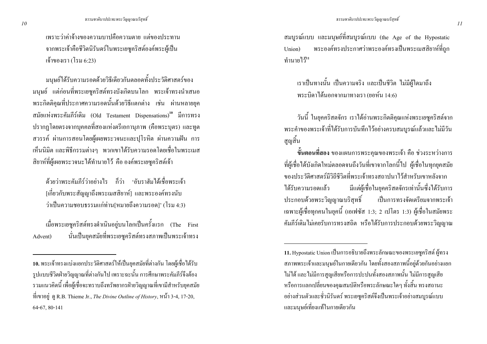้ เพราะว่าค่าจ้างของความบาปคือความตาย แต่ของประทาน จากพระเจ้าคือชีวิตนิรันคร์ในพระเยซูคริสต์องค์พระผู้เป็น เจ้าของเรา (โรม 6:23)

้มนุษย์ใค้รับความรอคด้วยวิธีเดียวกันตลอคทั้งประวัติศาสตร์ของ ้มนุษย์ แต่ก่อนที่พระเยซูคริสต์ทรงบังเกิดบนโลก พระเจ้าทรงนำเสนอ พระกิตติกุณที่ประกาศความรอคนั้นด้วยวิธีแตกต่าง เช่น ผ่านหลายยุก สมัยแห่งพระคัมภีร์เดิม (Old Testament Dispensations)<sup>10</sup> มีการทรง ี ปรากฏโดยตรงจากบุคคลที่สองแห่งตรีเอกานุภาพ (คือพระบุตร) และทูต ี สวรรค์ ผ่านการสอนโดยผู้เผยพระวจนะและปุโรหิต ผ่านความฝัน การ เห็นนิมิต และพิธีกรรมต่างๆ พวกเขาได้รับความรอดโดยเชื้อในพระเมส ี สิยาห์ที่ผู้เผยพระวจนะได้ทำนายไว้ คือ องค์พระเยซูคริสต์เจ้า

้ด้วยว่าพระคัมภีร์ว่าอย่างไร ก็ว่า 'อับราฮัมได้เชื้อพระเจ้า [เกี่ยวกับพระสัญญาถึงพระเมสสิยาห์] และพระองค์ทรงนับ ว่าเป็นความชอบธรรมแก่ท่าน[หมายถึงความรอด]' (โรม 4:3)

้เมื่อพระเยซูคริสต์ทรงดำเนินอยู่บนโลกเป็นครั้งแรก (The First นั่นเป็นยุคสมัยที่พระเยซูคริสต์ทรงสภาพเป็นพระเจ้าทรง Advent)

สมบูรณ์แบบ และมนุษย์ที่สมบูรณ์แบบ (the Age of the Hypostatic ิพระองค์ทรงประกาศว่าพระองค์ทรงเป็นพระเมสสิยาห์ที่ถูก  $Union)$ ทำบายไว้<sup>บ</sup>

้เราเป็นทางนั้น เป็นความจริง และเป็นชีวิต ไม่มีผู้ใดมาถึง พระบิดาได้นอกจากมาทางเรา (ยอห์น 14:6)

วันนี้ ในยุคคริสตจักร เราได้อ่านพระกิตติคุณแห่งพระเยซูคริสต์จาก พระคำของพระเจ้าที่ได้รับการบันทึกไว้อย่างครบสมบูรณ์แล้วและไม่มีวัน สูญสิ้น

์ ขั้นตอนที่สอง ของแผนการพระคุณของพระเจ้า คือ ช่วงระหว่างการ ที่ผู้เชื่อได้บังเกิดใหม่ตลอดจนถึงวันที่เขาจากโลกนี้ไป ผู้เชื่อในทุกยุคสมัย ของประวัติศาสตร์มีวิถีชีวิตที่พระเจ้าทรงสถาปนาไว้สำหรับเขาหลังจาก มีแต่ผู้เชื้อในยุคคริสตจักรเท่านั้นซึ่งได้รับการ ได้รับความรอดแล้ว ประกอบด้วยพระวิญญาณบริสุทธิ์ เป็นการทรงจัดเตรียมจากพระเจ้า ี เฉพาะผู้เชื่อทุกคนในยุคนี้ (เอเฟซัส 1:3; 2 เปโตร 1:3) ผู้เชื่อในสมัยพระ ้คัมภีร์เดิมไม่เคยรับการทรงสถิต หรือได้รับการประกอบด้วยพระวิญญาณ

<sup>10.</sup> พระเจ้าทรงแบ่งแยกประวัติศาสตร์ให้เป็นยกสมัยที่ต่างกัน โดยผู้เชื่อได้รับ รูปแบบชีวิตฝ่ายวิญญาณที่ต่างกันไป เพราะฉะนั้น การศึกษาพระคัมภีร์จึงต้อง ้ รวมแนวคิดนี้ เพื่อผู้เชื่อจะทราบถึงทรัพยากรฝ่ายวิญญาณที่เขามีสำหรับยุคสมัย ที่เขาอยู่ ดู R.B. Thieme Jr., The Divine Outline of History, หน้า 3-4, 17-20, 64-67, 80-141

<sup>11.</sup> Hypostatic Union เป็นการอธิบายถึงพระลักษณะของพระเยซูคริสต์ ผู้ทรง ิสภาพพระเจ้าและมนุษย์ในกายเดียวกัน โดยทั้งสองสภาพนี้อยู่ด้วยกันอย่างแยก ไม่ได้ และไม่มีการสูญเสียหรือการปะปนทั้งสองสภาพนั้น ไม่มีการสูญเสีย หรือการแลกเปลี่ยนของคุณสมบัติหรือพระลักษณะใดๆ ทั้งสิ้น ทรงสถานะ ้อย่างส่วนตัวและชั่วนิรันดร์ พระเยซูคริสต์จึงเป็นพระเจ้าอย่างสมบูรณ์แบบ และมนษย์เที่ยงแท้ในกายเดียวกัน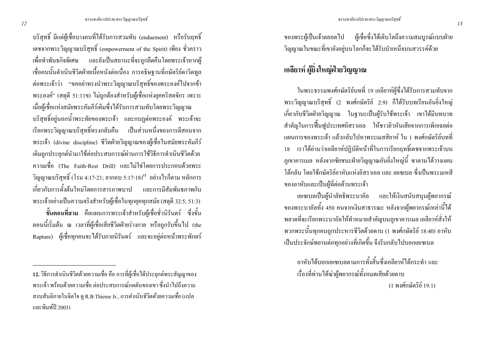ผู้เชื่อซึ่งได้เติบโตถึงความสมบูรณ์แบบฝ่าย ของพระผู้เป็นเจ้าตลอดไป วิญญาณในขณะที่เขายังอยู่บนโลกกีจะใด้รับบำเหน็จบนสวรรค์ด้วย

## เอลียาห์ ผู้ยิ่งใหญ่ฝ่ายวิญญาณ

ในพระธรรมพงศ์กษัตริย์บทที่ 19 เอลียาห์ผู้ซึ่งได้รับการสวมทับจาก พระวิญญาณบริสุทธิ์ (2 พงศ์กษัตริย์ 2:9) ก็ได้รับบทเรียนอันยิ่งใหญ่ ้เกี่ยวกับชีวิตฝ่ายวิญญาณ ในฐานะเป็นผู้รับใช้พระเจ้า เขาได้มีบทบาท ่ สำคัญในการฟื้นฟูประเทศอิสราเอล ให้ชาวยิวหันเสียจากการเพิกเฉยต่อ ้ แผนการของพระเจ้า แล้วกลับไปหาพระเมสสิยาห์ ใน 1 พงศ์กษัตริย์บทที่ 18 เราได้อ่านว่าเอลียาห์ปฏิบัติหน้าที่ในการเรียกถทธิ์เคชจากพระเจ้าบน ภูเขาคารเมล หลังจากชัยชนะฝ่ายวิญญาณอันยิ่งใหญ่นี้ ซาตานได้วางแผน โต้กลับ โดยใช้กษัตริย์อาหับแห่งอิสราเอล และ เยเซเบล ซึ่งเป็นพระมเหสี ของอาหับและเป็นผู้ที่ต่อต้านพระเจ้า

เยเซเบลเป็นผู้นำลัทธิพระบาอัล และให้เงินสนับสนุนผู้พยากรณ์ ี ของพระบาอัลทั้ง 450 คนจากเงินสาธารณะ หลังจากผู้พยากรณ์เหล่านี้ได้ ี พลาดที่จะเรียกพระบาอัลให้ทำหมายสำคัญบนภูเขาคารเมล เอลียาห์สั่งให้ พวกพระนั้นทุกคนถูกประหารชีวิตด้วยดาบ (1 พงศ์กษัตริย์ 18:40) อาหับ เป็นประจักษ์พยานต่อทุกอย่างที่เกิดขึ้น จึงรีบกลับไปบอกเยเซเบล

้อาหับได้บอกเยเซเบลตามการทั้งสิ้นซึ่งเอลียาห์ได้กระทำ และ เรื่องที่ท่านได้ฆ่าผู้พยากรณ์ทั้งหมดเสียด้วยดาบ (1 พงศ์กษัตริย์ 19:1)

ิบริสุทธิ์ มีแต่ผู้เชื่อบางคนที่ได้รับการสวมทับ (enduement) หรือรับฤทธิ์ เคชจากพระวิญญาณบริสุทธิ์ (empowerment of the Spirit) เพียง ชั่วคราว ้ เพื่อทำพันธกิจพิเศษ และยังเป็นสถานะที่จะถูกยึดคืนโดยพระเจ้าหากผู้ เชื้อคนนั้นคำเนินชีวิตฝ่ายเนื้อหนังต่อเนื่อง การอธิษฐานที่กษัตริย์คาวิคทูล ี่ต่อพระเจ้าว่า "ขออย่าทรงนำพระวิญญาณบริสุทธิ์ของพระองค์ไปจากข้า พระองค์" (สดุดี 51:11ข) ไม่ถูกต้องสำหรับผู้เชื่อแห่งยุคคริสตจักร เพราะ เมื่อผู้เชื่อแห่งสมัยพระคัมภีร์เดิมซึ่งได้รับการสวมทับโดยพระวิณฌาณ บริสุทธิ์อยู่นอกน้ำพระทัยของพระเจ้า และกบฎต่อพระองค์ พระเจ้าจะ ้เรียกพระวิณฌาณบริสทธิ์ทรงกลับคืน เป็นส่วนหนึ่งของการตีสอนจาก พระเจ้า (divine discipline) ชีวิตฝ่ายวิญญาณของผู้เชื่อในสมัยพระคัมภีร์ ้เดิมถูกประยุกต์นำมาใช้ต่อประสบการณ์ผ่านการใช้วิธีการดำเนินชีวิตด้วย ี ความเชื้อ (The Faith-Rest Drill) และไม่ใช่โดยการประกอบด้วยพระ วิญญาณบริสุทธิ์ (โรม 4:17-21; ยากอบ 5:17-18)" อย่างไรก็ตาม หลักการ ้เกี่ยวกับการตั้งต้บใหม่โดยการสารกาพบาป และการบีสับพับธกาพกับ พระเจ้าอย่างเป็นความจริงสำหรับผู้เชื่อในทุกยุคทุกสมัย (สดุดี 32:5; 51:3) ี ขั้นตอนที่สาม คือแผนการพระเจ้าสำหรับผู้เชื่อชั่วนิรันคร์ ซึ่งขั้น ์ ตอนนี้เริ่มต้น ณ เวลาที่ผู้เชื่อเสียชีวิตฝ่ายร่างกาย หรือถูกรับขึ้นไป (the

Rapture) ผู้เชื้อทุกคนจะได้รับกายนิรันคร์ และจะอยู่ต่อหน้าพระพักตร์

<sup>12.</sup> วิธีการคำเนินชีวิตค้วยความเชื่อ คือ การที่ผู้เชื่อได้ประยกต์พระสัญญาของ ่ พระเจ้า พร้อมด้วยความเชื่อ ต่อประสบการณ์กดดันของเขา ซึ่งนำไปถึงความ ิ สงบสันติภายในจิตใจ ดู R.B.Thieme Jr., การคำเนินชีวิตด้วยความเชื่อ (แปล และพิบพ์ปี 2003)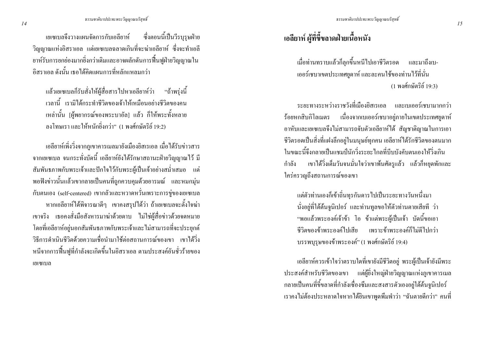ี เยเซเบลจึงวางแผนจัดการกับเอลียาห์ - ซึ่งตอนนี้เป็นวีรบุรุษฝ่าย วิญญาณแห่งอิสราเอล แต่เยเซเบลฉลาดเกินที่จะฆ่าเอลียาห์ ซึ่งจะทำเอลี ยาห์รับการยกย่องมากยิ่งกว่าเดิมและอาจผลักดันการฟื้นฟูฝ่ายวิญญาณใน ้อิสราเอล ดังนั้น เธอได้กิดแผนการที่หลักแหลมกว่า

แล้วเยเซเบลกีรับสั่งให้ผู้สื่อสารไปหาเอลียาห์ว่า "ถ้าพรุ่งนี้ ี เวลานี้ เรามิได้กระทำชีวิตของเจ้าให้เหมือนอย่างชีวิตของคน เหล่านั้น [ผู้พยากรณ์ของพระบาอัล] แล้ว ก็ให้พระทั้งหลาย ลงโทษเรา และให้หนักยิ่งกว่า" (1 พงศ์กษัตริย์ 19:2)

้ เอลียาห์เพิ่งวิ่งจากภูเขาการเมลมายังเมืองยิสเรเอล เมื่อได้รับข่าวสาร ี จากเยเซเบล จนกระทั่งบัคนี้ เอลียาห์ยังได้รักษาสถานะฝ่ายวิญญาณไว้ มี ี สัมพันธภาพกับพระเจ้าและปีกใจไว้กับพระผู้เป็นเจ้าอย่างสม่ำเสมอ แต่ ี พอฟังข่าวนั้นแล้วเขากลายเป็นคนที่ถูกควบคุมด้วยอารมณ์ และหมกมุ่น ึ กับตนเอง (self-centered) เขากลัวและหวาดหวั่นเพราะการขู่ของเยเซเบล หากเอลียาห์ใด้พิจารณาคีๆ เขาคงสรุปใด้ว่า ถ้าเยเซเบลจะตั้งใจฆ่า เขาจริง เธอคงสั่งมือสังหารมาฆ่าด้วยดาบ ใม่ใช่ผู้สื่อข่าวด้วยจดหมาย โดยที่เอลียาห์อยู่นอกสัมพันธภาพกับพระเจ้าและไม่สามารถที่จะประยุกต์ ้วิธีการดำเนินชีวิตด้วยความเชื่อนำมาใช้ต่อสถานการณ์ของเขา เขาได้วิ่ง หนีจากการฟื้นฟูที่กำลังจะเกิดขึ้นในอิสราเอล ตามประสงค์อันชั่วร้ายของ เยเซเบล

# ้เอลียาห์ ผู้ที่ขึ้ขลาดฝ่ายเนื้อหนัง

เมื่อท่านทราบแล้วก็ลุกขึ้นหนีไปเอาชีวิตรอด และมาถึงเบ-้เออร์เชบาเขตประเทศยูดาห์ และละคนใช้ของท่านไว้ที่นั่น (1 พงศ์กษัตริย์ 19:3)

้ระยะทางระหว่างราชวังที่เบื้องยิสเรเอล และเบเออร์เซบามากกว่า ร้อยหกสิบกิโลเมตร เนื่องจากเบเออร์เชบาอยู่ภายในเขตประเทศยูคาห์ อาหับและเยเซเบลจึงไม่สามารถจับตัวเอลียาห์ใด้ สัญชาติญาณในการเอา ้ชีวิตรอดเป็นสิ่งที่แฝงลึกอยู่ในมนุษย์ทุกคน เอลียาห์ใด้รักชีวิตของตนมาก ในขณะนี้จึงกลายเป็นแชมป์นักวิ่งระยะไกลที่บีบบังคับตนเองให้วิ่งเกิน เขาได้วิ่งเต็มวันจนมั่นใจว่าเขาพ้นศัตรูแล้ว แล้วก็หยุดพักและ กำลัง ใคร่ครวญถึงสถานการณ์ของเขา

้ แต่ตัวท่านเองก็เข้าถิ่นทรกันดารไปเป็นระยะทางวันหนึ่งมา นั่งอยู่ที่ใต้ต้นจูนิเปอร์ และท่านทูลขอให้ตัวท่านตายเสียที ว่า "พอแล้วพระองค์เจ้าข้า โอ ข้าแต่พระผู้เป็นเจ้า บัดนี้ขอเอา ้ชีวิตของข้าพระองค์ไปเสีย เพราะข้าพระองค์ก็ไบ่ดีไปกว่า บรรพบุรุษของข้าพระองค์" (1 พงศ์กษัตริย์ 19:4)

เอลียาห์ควรเข้าใจว่าตราบใดที่เขายังมีชีวิตอยู่ พระผู้เป็นเจ้ายังมีพระ ประสงค์สำหรับชีวิตของเขา แต่ผู้ยิ่งใหญ่ฝ่ายวิญญาณแห่งภูเขาคารเมล ึกลายเป็นคนที่ขี้ขลาดที่กำลังเซื่องซึมและสงสารตัวเองอยู่ใต้ต้นจูนิเปอร์ ี เราคงไม่ต้องประหลาดใจหากได้ยินเขาพูดพึมพำว่า "ฉันตายดีกว่า" คนที่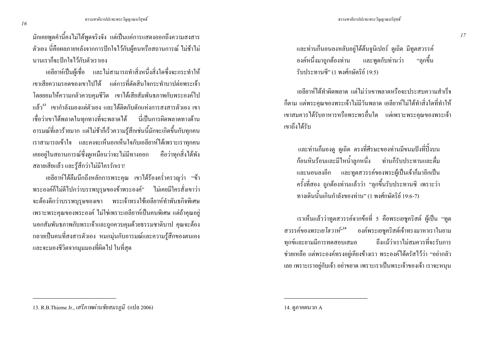้ มักเกยพูดคำนี้คงไม่ได้พูดจริงจัง แต่เป็นแก่การแสดงออกถึงความสงสาร ้ตัวเอง นี่กื้อผลภายหลังจากการปักใจไว้กับผู้คนหรือสถานการณ์ ไม่ช้าไม่ นานเราก็จะปักใจไว้กับตัวเราเอง

เอลียาห์เป็นผู้เชื่อ และไม่สามารถทำสิ่งหนึ่งสิ่งใดซึ่งจะกระทำให้ ้ เขาเสียความรอดของเขาไปได้ แต่การที่ตัดสินใจกระทำบาปต่อพระเจ้า โดยยอมให้ความกลัวควบคุมชีวิต เขาได้เสียสัมพันธภาพกับพระองค์ไป แล้ว<sup>เง</sup>ียงากำลังมองแต่ตัวเอง และได้ติดกับดักแห่งการสงสารตัวเอง เขา เชื่อว่าเขาได้พลาดในทุกทางที่จะพลาดได้ นี่เป็นการผิดพลาดทางด้าน ้อารมณ์ที่เลวร้ายมาก แต่ไม่ช้าก็เร็วความรู้สึกเช่นนี้มักจะเกิดขึ้นกับทุกคน เราสามารถเข้าใจ และคงจะเห็นอกเห็นใจกับเอลียาห์ได้เพราะเราทุกคน ี เคยอยู่ในสถานการณ์ซึ่งดูเหมือนว่าจะไม่มีทางออก คือว่าทุกสิ่งได้พัง ิสลายเสียแล้ว และรู้สึกว่าไม่มีใครรักเรา!

เอลียาห์ใด้ลืมนึกถึงหลักการพระคุณ เขาใด้ร้องคร่ำครวญว่า "ข้า พระองค์ก็ไม่ดีไปกว่าบรรพบุรุษของข้าพระองค์" ไม่เคยมีใครสั่งเขาว่า ้จะต้องดีกว่าบรรพบุรุษของเขา พระเจ้าทรงใช้เอลียาห์ทำพันธกิจพิเศษ ้เพราะพระคุณของพระองค์ ไม่ใช่เพราะเอลียาห์เป็นคนพิเศษ แต่ถ้าคุณอยู่ นอกสัมพันธภาพกับพระเจ้าและถูกควบคุมด้วยธรรมชาติบาป คุณจะต้อง ึกลายเป็นคนที่สงสารตัวเอง หมกมุ่นกับอารมณ์และความรู้สึกของตนเอง และจะมองชีวิตจากมุมมองที่ผิดไป ในที่สุด

และท่านก็นอนลงหลับอยู่ใต้ต้นจูนิเปอร์ ดูเถิด มีทูตสวรรค์ ้องค์หนึ่งมาถูกต้องท่าน "ลกขึ้น และพูดกับท่านว่า รับประทานซี" (1 พงศ์กษัตริย์ 19:5)

เคลียาห์ได้ทำผิดพลาด แต่ไม่ว่าเขาพลาดหรือจะประสบความสำเร็จ ้ก็ตาม แต่พระกุณของพระเจ้าไม่มีวันพลาด เอลียาห์ไม่ได้ทำสิ่งใดที่ทำให้ เขาสมควรใด้รับอาหารหรือพระพรอื่นใด แต่เพราะพระคุณของพระเจ้า เขาถึงได้รับ

ี และท่านก็มองดู ดูเถิด ตรงที่ศีรษะของท่านมีขนมปังที่ปิ้งบน ก้อนหินร้อนและมีไหน้ำลูกหนึ่ง ท่านก็รับประทานและคื่ม และนอนลงอีก และทูตสวรรค์ของพระผู้เป็นเจ้าก็มาอีกเป็น ครั้งที่สอง ถูกต้องท่านแล้วว่า "ลุกขึ้นรับประทานซิ เพราะว่า ิทางเดินนั้นเกินกำลังของท่าน" (1 พงศ์กษัตริย์ 19:6-7)

เราเห็นแล้วว่าทูตสวรรค์จากข้อที่ 5 คือพระเยซุคริสต์ ผู้เป็น "ทูต สวรรค์ของพระเยโฮวาห์<sup>,,14</sup> ้องค์พระเยซคริสต์เจ้าทรงมาหาเราในยาม ทกข์และยามมีการทดสอบเสมอ ถึงแม้ว่าเราไม่สมควรที่จะรับการ ช่วยเหลือ แต่พระองค์ทรงอยู่เคียงข้างเรา พระองค์ได้ตรัสไว้ว่า "อย่ากลัว ้เลย เพราะเราอยู่กับเจ้า อย่าขยาด เพราะเราเป็นพระเจ้าของเจ้า เราจะหนุน

 $14.$  คุภาคผนวก  $A$ 

<sup>13.</sup> R.B.Thieme Jr., เสรีภาพผ่านชัยสมรภูมิ (แปล 2006)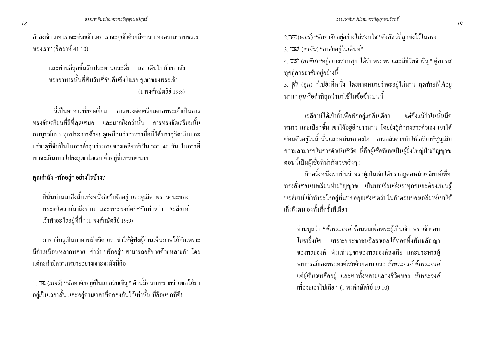้กำลังเจ้า เออ เราจะช่วยเจ้า เออ เราจะชูเจ้าด้วยมือขวาแห่งความชอบธรรม ของเรา" (อิสยาห์ 41:10)

ี และท่านก็ลุกขึ้นรับประทานและคื่ม และเดินไปด้วยกำลัง ของอาหารนั้นสี่สิบวันสี่สิบคืนถึงโฮเรบภูเขาของพระเจ้า (1 พงศ์กษัตริย์ 19:8)

้ นี่เป็นอาหารที่ยอดเยี่ยม! การทรงจัดเตรียมจากพระเจ้าเป็นการ ทรงจัดเตรียมที่ดีที่สุดเสมอ และมากยิ่งกว่านั้น การทรงจัดเตรียมนั้น ี สมบูรณ์แบบทุกประการด้วย! ดูเหมือนว่าอาหารมื้อนี้ได้บรรจุวิตามินและ แร่ธาตุที่จำเป็นในการค้ำจุนร่างกายของเอลียาห์เป็นเวลา 40 วัน ในการที่ เขาจะเดินทางไปยังภเขาโฮเรบ ซึ่งอย่ที่แหลมซีนาย

#### คุณกำลัง "พักอยู่" อย่างไรบ้าง?

ที่นั่นท่านมาถึงถ้ำแห่งหนึ่งก็เข้าพักอยู่ และดูเถิด พระวจนะของ พระเยโสวาห์มาถึงท่าน และพระองค์ตรัสกับท่านว่า "เอลียาห์ เจ้าทำอะไรอยู่ที่นี่" (1 พงศ์กษัตริย์ 19:9)

่ ภาษาฮีบรูเป็นภาษาที่มีชีวิต และทำให้ผู้ฟังผู้อ่านเห็นภาพใค้ชัดเพราะ มีคำเหมือนหลากหลาย คำว่า "พักอยู่" สามารถอธิบายด้วยหลายคำ โดย ้แต่ละคำมีความหมายอย่างเจาะจงดังนี้คือ

1. **าน (เก**อร์) "พักอาศัยอยู่เป็นแขกรับเชิญ" คำนี้มีความหมายว่าแขกได้มา ้ อยู่เป็นเวลาสั้น และอยู่ตามเวลาที่ตกลงกันไว้เท่านั้น นี่คือแขกที่ดี!

่ 2.דור (เคอร์) "พักอาศัยอยู่อย่างไม่สงบใจ" ดังสัตว์ที่ถูกขังไว้ในกรง 3. "อ*นี (ชาคัน)* "อาศัยอยู่ในเต็นท์" 4. วี*พี (ยาชับ) "อยู่อย่างสงบสุ*ข ได้รับพระพร และมีชีวิตจำเริญ" คู่สมรส ิทกค่ควรอาศัยอย่อย่างนี้ 5. לִהָ (สุน) "ไปยังที่หนึ่ง โดยกาดหมายว่าจะอยู่ไม่นาน สุดท้ายก็ได้อยู่ ินาน" *ลุน* คือคำที่ถูกนำมาใช้ในข้อข้างบนนี้

เอลียาห์ใด้เข้าถ้ำเพื่อพักอยู่แก่กืนเดียว แต่ถึงแม้ว่าในนั้นมืด หนาว และเปียกชื้น เขาได้อยู่อีกยาวนาน โดยยังรู้สึกสงสารตัวเอง เขาได้ ี ซ่อนตัวอยู่ในถ้ำนั้นและหม่นหมองใจ การกลัวตายทำให้เอลียาห์สูญเสีย ้ ความสามารถในการคำเนินชีวิต นี่คือผู้เชื่อที่เคยเป็นผู้ยิ่งใหญ่ฝ่ายวิญญาณ ตอนนี้เป็นผู้เชื่อที่น่าสังเวชจริงๆ !

้อีกครั้งหนึ่งเราเห็นว่าพระผู้เป็นเจ้าได้ปรากฏต่อหน้าเอลียาห์เพื่อ ทรงสั่งสอนบทเรียนฝ่ายวิญญาณ เป็นบทเรียนซึ่งเราทุกคนจะต้องเรียนรู้ "เอลียาห์ เจ้าทำอะ ไรอยู่ที่นี่" ขอคุณสังเกตว่า ในคำตอบของเอลียาห์เขาได้ เล็งถึงตนเองทั้งสี่ครั้งทีเดียว

ท่านทูลว่า *"ข้าพระองค์ ร้*อนรนเพื่อพระผู้เป็นเจ้า พระเจ้าจอม โยธายิ่งนัก เพราะประชาชนอิสราเอลใด้ทอดทิ้งพันธสัญญา ของพระองค์ พังแท่นบูชาของพระองค์ลงเสีย และประหารผู้ ์ พยากรณ์ของพระองค์เสียด้วยดาบ และ *ข้าพระองค์ ข้าพระองค์* แต่ผู้เดียวเหลืออยู่ และเขาทั้งหลายแสวงชีวิตของ *ข้าพระองค์* เพื่อจะเอาไปเสีย" (1 พงศ์กษัตริย์ 19:10)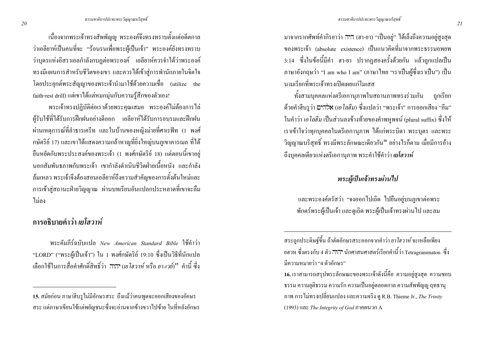้ เนื่องจากพระเจ้าทรงสัพพัญญู พระองค์จึงทรงทราบตั้งแต่อดีตกาล ว่าเอลียาห์เป็นคนที่จะ "ร้อนรนเพื่อพระผู้เป็นเจ้า" พระองค์ยังทรงทราบ ว่าบุตรแห่งอิสราเอลกำลังกบฏต่อพระองค์ เอลียาห์ควรจำได้ว่าพระองค์ ทรงมีแผนการสำหรับชีวิตของเขา และควรได้เข้าสู่การพำนักภายในจิตใจ โดยประยุกต์พระสัญญาของพระเจ้านำมาใช้ด้วยความเชื่อ (utilize the faith-rest drill) แต่เขาได้แต่หมกมุ่นกับความรู้สึกของตัวเอง!

พระเจ้าทรงปฏิบัติต่อเราด้วยพระคณเสมอ พระองค์ไม่ต้องการไล่ ้ผู้รับใช้ที่ได้รับการฝึกฝนอย่างดีออก เอลียาห์ใด้รับการอบรมและฝึกฝน ้ ผ่านเหตการณ์ที่ลำธารเครีท และในบ้านของหญิงม่ายที่ศาเรฟัท (1 พงศ์ ึกษัตริย์ 17) และเขาได้แสดงความกล้าหาญที่ยิ่งใหญ่บนภูเขาคารเมล ที่ได้ ้ยืนหยัดกับพระประสงค์ของพระเจ้า (1 พงศ์กษัตริย์ 18) แต่ตอนนี้เขาอยู่ ิบอกสัมพับธภาพกับพระเจ้า เขากำลังดำเบิบชีวิตฝ่ายเบื้อหบัง และกำลัง ้ถ้มเหลว พระเจ้าจึงต้องสอนเอลียาห์ถึงความสำคัญของการตั้งต้นใหม่และ ึการเข้าสู่สถานะฝ่ายวิญญาณ ผ่านบทเรียนอันแปลกประหลาดที่เขาจะลืม ็ไม่ลง

## ิการอธิบายดำว่า*เยโสวาห์*

พระคัมกีร์ฉบับแปล New American Standard Bible ใช้คำว่า "LORD" ("พระผู้เป็นเจ้า") ใน 1 พงศ์กษัตริย์ 19:10 ซึ่งเป็นวิธีที่นักแปล ้เลือกใช้ในการสื่อคำศักดิ์สิทธิ์ว่า האה (เยโฮวาห์ หรือ ยา-เวย์) <sup>ร</sup>ี คำนี้ ซึ่ง ้ มาจากรากศัพท์คำกิรยาว่า דיה (ฮา-ยา) "เป็นอยู่" ได้เล็งถึงความอยู่สูงสุด ของพระเจ้า (absolute existence) เป็นแนวคิดที่มาจากพระธรรมอพยพ 3:14 ซึ่งในข้อนี้มีคำ ฮา-ยา ปรากฏสองครั้งด้วยกัน แล้วถูกแปลเป็น ิภาษาอังกฤษว่า "I am who I am" (ภาษาไทย "เราเป็นผู้ซึ่งเราเป็น") เป็น ำบามเรียกที่พระเจ้าทรงเปิดเผยแก่โมเสส

ทั้งสามบุคคลแห่งตรีเอกานุภาพในสถานภาพทรงร่วมกัน ถกเรียก ด้วยคำฮีบรูว่า <del>บาว่ว**x** (เอโลฮีม) ซึ่ง</del>แปลว่า "พระเจ้า" การออกเสียง "อีม" ในคำว่า *เอโลฮีม* เป็นส่วนลงข้างท้ายของคำพหพจน์ (plural suffix) ซึ่งให้ ้ เราเข้าใจว่าทุกบุคคลในตรีเอกานุภาพ ได้แก่พระบิดา พระบุตร และพระ ้วิญญาณบริสุทธิ์ ทรงมีพระลักษณะเดียวกัน<sup>16</sup> อย่างไรก็ตาม เมื่อมีการอ้าง ้ถึงบุคคลเคียวแห่งตรีเอกานุภาพ พระคำใช้คำว่า*เยโฮวาห์* 

#### พระผู้เป็นเจ้าทรงผ่านไป

และพระองค์ตรัสว่า "จงออกไปเถิด ไปยืนอยู่บนภูเขาต่อพระ พักตร์พระผู้เป็นเจ้า และดูเถิด พระผู้เป็นเจ้าทรงผ่านไป และลม

ี สระถูกประดิษฐ์ขึ้น ถ้าตัดอักษรสระออกจากคำว่า *ยาโฮวาห์* จะเหลือเพียง ี ยฮวห ซึ่งตรงกับ 4 ตัว ThT นักศาสนศาสตร์เรียกคำนี้ว่า Tetragrammaton ซึ่ง ้มีความหมายว่า "4 ตัวอักษร"

<sup>15.</sup> สมัยก่อน ภาษาฮีบรูไม่มีอักษรสระ ถึงแม้ว่าคนพูดจะออกเสียงของอัคษร ิ สระ แต่ภาษาเขียนใช้แต่พยัญชนะซึ่งจะอ่านจากข้างขวาไปซ้าย ในที่หลังอักษร

<sup>16.</sup> เราสามารถสรปพระลักษณะของพระเจ้าดังนี้คือ ความอย่สงสด ความชอบ ธรรม ความขุติธรรม ความรัก ความเป็นอยู่ตลอดกาล ความสัพพัญญู ฤทธานุ ภาพ การไม่ทรงเปลี่ยนแปลง และความจริง ดู R.B. Thieme Jr., The Trinity (1993) และ The Integrity of God ภาคผนวก A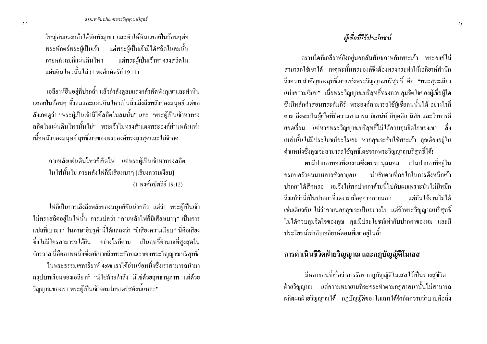ใหญ่อันแรงกล้าได้พัดพังภูเขา และทำให้หินแตกเป็นก้อนๆต่อ พระพักตร์พระผู้เป็นเจ้า แต่พระผู้เป็นเจ้ามิได้สถิตในลมนั้น ภายหลังลมกี้แผ่นดินไหว แต่พระผู้เป็นเจ้าหาทรงสถิตใน แผ่นดินไหวนั้นไม่ (1 พงศ์กษัตริย์ 19:11)

้ เอลียาห์ขืนอยู่ที่ปากถ้ำ แล้วกำลังคูลมแรงกล้าพัดพังภูเขาและทำหิน ้แตกเป็นก้อนๆ ทั้งลมและแผ่นดินไหวเป็นสิ่งเลิ้งถึงพลังของมนุษย์ แต่ขอ สังเกตดูว่า "พระผู้เป็นเจ้ามิได้สถิตในลมนั้น" และ "พระผู้เป็นเจ้าหาทรง ิสถิตในแผ่นดินไหวนั้นไม่" พระเจ้าไม่ทรงสำแดงพระองค์ผ่านพลังแห่ง เนื้อหนังของมนุษย์ ฤทธิ์เคชของพระองค์ทรงสูงสุดและไม่จำกัด

ิภายหลังแผ่นดินไหวก็เกิดไฟ แต่พระผู้เป็นเจ้าหาทรงสถิต ในไฟนั้นไม่ ภายหลังไฟก็มีเสียงเบาๆ [เสียงความเงียบ] (1 พงศ์กนัตริย์ 19∙12)

ไฟก็เป็นการเล็งถึงพลังของมนุษย์อันน่ากลัว แต่ว่า พระผู้เป็นเจ้า ไม่ทรงสถิตอยู่ในไฟนั้น การแปลว่า "ภายหลังไฟก็มีเสียงเบาๆ" เป็นการ แปลที่เบามาก ในภาษาฮีบรูคำนี้ได้แถลงว่า "มีเสียงความเงียบ" นี่คือเสียง ์ ซึ่งไม่มีใครสามารถได้ยิน อย่างไรก็ตาม เป็นถุทธิ์อำนาจที่สงสดใน ้จักรวาล นี่คือภาพหนึ่งซึ่งอธิบายถึงพระลักษณะของพระวิญญาณบริสุทธิ์ ในพระธรรมเศคาริยาห์ 4:6ข เราได้อ่านข้อหนึ่งซึ่งเราสามารถนำมา ิสรุปบทเรียนของเอลียาห์ "มิใช่ด้วยกำลัง มิใช่ด้วยฤทธานุภาพ แต่ด้วย ้วิญญาณของเรา พระผู้เป็นเจ้าจอมโยธาตรัสดังนี้แหละ"

## ผู้เชื่อที่ไร้ประโยชน์

ี ตราบใดที่เอลียาห์ยังอยู่นอกสัมพันธภาพกับพระเจ้า พระองค์ไม่ สามารถใช้เขาได้ เหตุฉะนั้นพระองค์จึงต้องทรงกระทำให้เอลียาห์สำนึก ถึงความสำคัญของฤทธิ์เคชแห่งพระวิญญาณบริสุทธิ์ คือ "พระสุระเสียง แห่งความเงียบ" เมื่อพระวิญญาณบริสุทธิ์ทรงควบคุมจิตใจของผู้เชื่อผู้ใด ซึ่งมีหลักคำสอนพระคัมภีร์ พระองค์สามารถใช้ผู้เชื้อคนนั้นได้ อย่างไรก็ ิตาม ถึงจะเป็นผู้เชื่อที่มีความสามารถ มีเสน่ห์ มีบุคลิก นิสัย และโวหารดี ี ยอคเยี่ยม แต่หากพระวิญญาณบริสุทธิ์ไม่ได้ควบคุมจิตใจของเขา สิ่ง เหล่านั้นไม่มีประโยชน์อะไรเลย หากคุณจะรับใช้พระเจ้า คุณต้องอยู่ใน ้ตำแหน่งซึ่งคุณจะสามารถใช้ฤทธิ์เคชจากพระวิญญาณบริสุทธิ์ได้!

่ ผมมีปากกาทองที่งดงามซึ่งผมทะนถนอม เป็นปากกาที่อย่ใน ี ครอบครัวผมมาหลายชั่วอายุคน น่าเสียดายที่กลไกในการดึงหมึกเข้า ้ปากกาได้สึกหรอ ผมจึงไม่พกปากกาด้ามนี้ไปกับผมเพราะมันไม่มีหมึก ถึงแม้ว่านี่เป็นปากกาที่งดงามเมื่อดูจากภายนอก แต่มันใช้งานไม่ได้ ้เช่นเดียวกัน ไม่ว่าภายนอกคุณจะเป็นอย่างไร แต่ถ้าพระวิญญาณบริสุทธิ์ ไม่ได้ควบคมจิตใจของคณ คณมีประโยชน์เท่ากับปากกาของผม และมี ประโยชน์เท่ากับเอลียาห์ตอนที่เขาอยู่ในถ้ำ

## ึการดำเนินชีวิตฝ่ายวิญญาณ และกฎบัญญัติโมเสส

มีหลายคนที่เชื่อว่าการรักษากฎบัญญัติโมเสสไว้เป็นทางสู่ชีวิต ้ฝ่ายวิญญาณ แต่ความพยายามที่จะกระทำตามกฎศาสนานั้นไม่สามารถ ี ผลิตผลฝ่ายวิญญาณ ใด้ กฎบัญญัติของ โมเสส ได้จำกัดความว่าบาปคือสิ่ง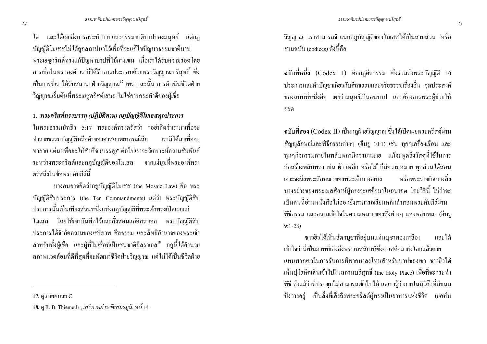ใด และได้เผยถึงการกระทำบาปและธรรมชาติบาปของมนุษย์ แต่กฎ บัญญัติโมเสสไม่ได้ถูกสถาปนาไว้เพื่อที่จะแก้ไขปัญหาธรรมชาติบาป ี พระเยซูคริสต์ทรงแก้ปัญหาบาปที่ไม้กางเขน เมื่อเราได้รับความรอดโดย การเชื่อในพระองค์ เราก็ได้รับการประกอบด้วยพระวิญญาณบริสุทธิ์ ซึ่ง

้เป็นการที่เราได้รับสถานะฝ่ายวิญญาณ<sup>เ7</sup> เพราะฉะนั้น การดำเนินชีวิตฝ่าย วิญญาณเริ่มต้นที่พระเยซูกริสต์เสมอ ไม่ใช่การกระทำดีของผู้เชื่อ

1. พระคริสต์ทรงบรรลุ (ปฏิบัติตาม) กฎบัญญัติโมเสสทุกประการ

ในพระธรรมมัทธิว 5:17 พระองค์ทรงตรัสว่า "อย่าคิดว่าเรามาเพื่อจะ ทำลายธรรมบัญญัติหรือคำของศาสดาพยากรณ์เสีย ่<br>เรามิได้มาเพื่อจะ ี ทำลาย แต่มาเพื่อจะให้สำเร็จ (บรรล)" ต่อไปเราจะวิเคราะห์ความสัมพันธ์ ระหว่างพระคริสต์และกฎบัญญัติของโมเสส จากแง่มมที่พระองค์ทรง ตรัสถึงใบข้อพระคัมกีร์บี้

บางคนอาจคิดว่ากฎบัญญัติโมเสส (the Mosaic Law) คือ พระ บัญญัติสิบประการ (the Ten Commandments) แต่ว่า พระบัญญัติสิบ ประการนั้นเป็นเพียงส่วนหนึ่งแห่งกฎบัญญัติที่พระเจ้าทรงเปิดเผยแก่ โมเสส โดยให้เขาบันทึกไว้และสั่งสอนแก่อิสราเอล พระบัญญัติสิบ ้ำโระการได้จำกัดความของเสรีภาพ ศีลธรรม และสิทธิอำนาจของพระเจ้า ี สำหรับทั้งผู้เชื้อ และผู้ที่ไม่เชื้อที่เป็นชนชาติอิสราเอล<sup>เร</sup>็กฎนี้ได้อำนวย ิสภาพแวดล้อมที่ดีที่สุดที่จะพัฒนาชีวิตฝ่ายวิญญาณ แต่ไม่ได้เป็นชีวิตฝ่าย

้วิญญาณ เราสามารถจำแนกกฎบัญญัติของโมเสสได้เป็นสามส่วน หรือ สามฉบับ (codices) ดังนี้คือ

ิ ฉบับที่หนึ่ง (Codex I) คือกฎศีลธรรม ซึ่งรวมถึงพระบัญญัติ 10 ประการและคำบัญชาเกี่ยวกับศีลธรรมและจริยธรรมเรื่องอื่น จดประสงค์ ี ของฉบับที่หนึ่งคือ เผยว่ามนุษย์เป็นคนบาป และต้องการพระผ้ช่วยให้ รอด

ิ ฉบับที่สอง (Codex II) เป็นกฎฝ่ายวิญญาณ ซึ่งใต้เปิดเผยพระคริสต์ผ่าน ี สัญญลักษณ์และพิธีกรรมต่างๆ (ฮีบรุ 10:1) เช่น ทุกๆเครื่องเรือน และ ทุกๆกิจกรรมภายในพลับพลามีความหมาย แม้จะพูดถึงวัสดุที่ใช้ในการ ก่อสร้างพลับพลา เช่น ผ้า เหล็ก หรือไม้ ก็มีความหมาย ทุกส่วนได้สอน เจาะจงถึงพระลักษณะของพระเจ้าบางอย่าง หรือพระราชกิจบางสิ่ง ้ บางอย่างของพระเมสสิยาห์ผู้ทรงจะเสด็จมาในอนาคต โดยวิธีนี้ ไม่ว่าจะ ้เป็นคบที่อ่านหนังสือไม่ออกยังสามารถเรียนหลักคำสอนพระคัมภีร์ผ่าน ้พิธีกรรม และความเข้าใจในความหมายของสิ่งต่างๆ แห่งพลับพลา (ฮีบรู  $9:1-28$ 

ชาวยิวได้เห็นสัตวบูชาที่อยู่บนแท่นบูชาทองเหลือง และได้ ้เข้าใจว่านี่เป็นภาพที่เล็งถึงพระเมสสิยาห์ซึ่งจะเสด็จมายังโลกแล้วตาย ้แทนพวกเขาในการรับการพิพากษาลงโทษสำหรับบาปของเขา ชาวยิวได้ เห็นปุโรหิตเดินเข้าไปในสถานบริสุทธิ์ (the Holy Place) เพื่อที่จะกระทำ ้พิธี ถึงแม้ว่าที่ประชุมไม่สามารถเข้าไปได้ แต่เขารู้ว่าภายในมีโต๊ะที่มีขนม ปังวางอยู่ เป็นสิ่งที่เล็งถึงพระคริสต์ผู้ทรงเป็นอาหารแห่งชีวิต (ยอห์น

 $17.$  ด ภาคผนวก $C$ 

<sup>18.</sup> ด R. B. Thieme Jr., เสรีภาพผ่านชัยสมรภมิ, หน้า 4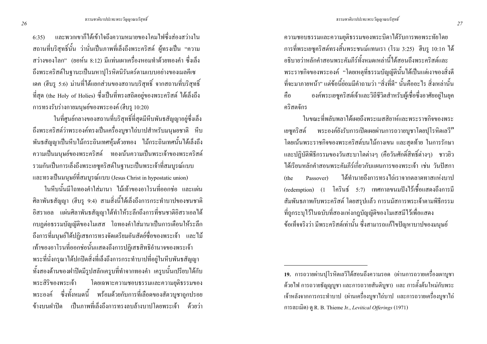้ และพวกเขาก็ได้เข้าใจถึงความหมายของโคมไฟซึ่งส่องสว่างใน  $6:35$ ิสถานที่บริสุทธิ์นั้น ว่านั่นเป็นภาพที่เล็งถึงพระคริสต์ ผู้ทรงเป็น "ความ ิสว่างของโลก" (ยอห์น 8:12) มีแท่นเผาเครื่องหอมทำด้วยทองคำ ซึ่งเล็ง ถึงพระคริสต์ในฐานะเป็นมหาปุโรหิตนิรันคร์ตามแบบอย่างของเมลคีเซ ีเดค (ฮีบรู 5:6) ม่านที่ได้แยกส่วนของสถานบริสุทธิ์ จากสถานที่บริสุทธิ์ ที่สุด (the Holy of Holies) ซึ่งเป็นที่ทรงสถิตอยู่ของพระคริสต์ ใด้เล็งถึง การทรงรับร่างกายมนษย์ของพระองค์ (ฮีบร 10:20)

ในที่ศูนย์กลางของสถานที่บริสุทธิ์ที่สุดมีหีบพันธสัญญาอยู่ซึ่งเล็ง ้ถึงพระคริสต์ว่าพระองค์ทรงเป็นเครื่องบชาไถ่บาปสำหรับมนษยชาติ หีบ พันธสัญญาเป็นหีบไม้กระถินเทศหุ้มด้วยทอง ไม้กระถินเทศนั้นได้เล็งถึง ี ความเป็นมนุษย์ของพระคริสต์ ทองเน้นความเป็นพระเจ้าของพระคริสต์ รวมกันเป็นการเล็งถึงพระเยซูคริสต์ในฐานะเป็นพระเจ้าที่สมบูรณ์แบบ และทรงเป็นมนุษย์ที่สมบูรณ์แบบ (Jesus Christ in hypostatic union)

ใบหีบบั้นนีโถทองคำใส่มาบา ไม้เท้าของอาโรบที่ออกช่อ และแผ่บ ี่ ศิลาพันธสัญญา (ฮีบรู 9:4) สามสิ่งนี้ได้เล็งถึงการกระทำบาปของชนชาติ ี อิสราเอล แผ่นศิลาพันธสัญญาได้ทำให้ระลึกถึงการที่ชนชาติอิสราเอลได้ ึกบฏต่อธรรมบัญญัติของโมเสส โถทองคำใส่มานาเป็นการเตือนให้ระลึก ้ถึงการที่มนษย์ได้ปฏิเสธการทรงจัดเตรียมอันสัตย์ซื่อของพระเจ้า และไม้ ้ เท้าของอาโรนที่ออกซ่อนั้นแสดงถึงการปฏิเสธสิทธิอำนาจของพระเจ้า พระที่นั่งกรุณาได้ปกปิดสิ่งที่เล็งถึงการกระทำบาปที่อยู่ในหีบพันธสัญญา ้ทั้งสองด้านของฝาปิดมีรูปสลักเครูบที่ทำจากทองคำ เครูบนั้นเปรียบได้กับ พระสิริของพระเจ้า โคยเฉพาะความชอบธรรมและความยุติธรรมของ พระองค์ ซึ่งทั้งหมดนี้ พร้อมด้วยกับการที่เลือดของสัตวบูชาถูกปรอย ้ข้างบนฝาปิด เป็นภาพที่เล็งถึงการทรงลบล้างบาปโดยพระเจ้า ด้วยว่า

ความชอบธรรมและความยุติธรรมของพระบิดาใด้รับการพอพระทัยโดย ิ การที่พระเยซูคริสต์ทรงสิ้นพระชนม์แทนเรา (โรม 3:25) ฮีบรู 10:1ก ใด้ อธิบายว่าหลักคำสอนพระคัมภีร์ทั้งหมดเหล่านี้ได้สอนถึงพระคริสต์และ พระราชกิจของพระองค์ "โดยเหตุที่ธรรมบัญญัตินั้นได้เป็นแต่เงาของสิ่งดี ้ที่จะมาภายหน้า" แต่ข้อนี้ย่อมมีคำถามว่า "สิ่งที่ดี" นั้นคืออะไร สิ่งเหล่านั้น องค์พระเยซูคริสต์เจ้าและวิถีชีวิตสำหรับผู้เชื่อซึ่งอาศัยอยู่ในยุค คือ คริสตจักร

ใบขณะที่พลับพลาได้เผยถึงพระเมสสิยาห์และพระราชกิจของพระ พระองค์ยังรับการเปิดเผยผ่านการถวายบูชาโดยปุโรหิตเลวี!' เยซคริสต์ โดยเน้นพระราชกิจของพระคริสต์บนไม้กางเขน และสุดท้าย ในการรักษา และปฏิบัติพิธีกรรมของวันสะบาโตต่างๆ (คือวันศักดิ์สิทธิ์ต่างๆ) ชาวยิว ได้เรียบหลักคำสอบพระดับกีร์เกี่ยวกับแผบการของพระเจ้า เช่บ วับปัสกา ได้ทำนายถึงการทรงไถ่เราจากตลาดทาสแห่งบาป Passover) (the (redemption) (1 โครินธ์ 5:7) เทศกาลขนมปังไร้เชื้อแสดงถึงการมี สัมพันธภาพกับพระคริสต์ โดยสรุปแล้ว การนมัสการพระเจ้าตามพิธีกรรม ที่ถูกระบุไว้ในฉบับที่สองแห่งกฎบัญญัติของโมเสสมีไว้เพื่อแสดง ้ข้อเท็จจริงว่า มีพระคริสต์เท่านั้น ซึ่งสามารถแก้ไขปัญหาบาปของมนุษย์

<sup>19.</sup> การถวายผ่านปโรหิตเลวีได้สอนถึงความรอด (ผ่านการถวายเครื่องเผาบชา ้ค้วยใฟ การถวายธัญญบูชา และการถวายสันติบูชา) และ การตั้งต้นใหม่กับพระ ้เจ้าหลังจากการกระทำบาป (ผ่านเครื่องบูชาไถ่บาป และการถวายเครื่องบูชาไถ่ การละเมิด) ค R. B. Thieme Jr., Levitical Offerings (1971)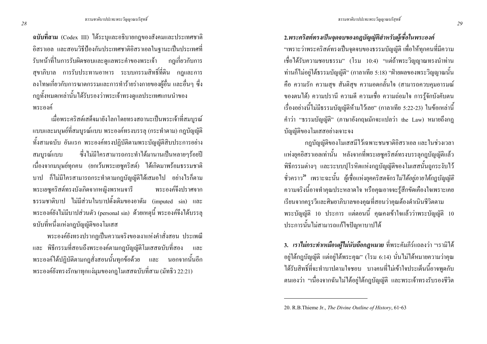ึ่<br>ฉบับที่สาม (Codex III) ใค้ระบุและอธิบายกฎของสังคมและประเทศชาติ ี อิสราเอล และสอนวิธีป้องกันประเทศชาติอิสราเอลในจานะเป็นประเทศที่ ี รับหน้าที่ในการรับผิดชอบและดแลพระคำของพระเจ้า กฏเกี่ยวกับการ ิ สขาภิบาล การรับประทานอาหาร ระบบกรรมสิทธิ์ที่ดิน กฎและการ ิลงโทษเกี่ยวกับการฆาตกรรมและการทำร้ายร่างกายของผู้อื่น และอื่นๆ ซึ่ง ึกฎทั้งหมดเหล่านั้นได้รับรองว่าพระเจ้าทรงดูแลประเทศแกนนำของ พระกงค์

้ เมื่อพระคริสต์เสด็จมายังโลกโดยทรงสถานะเป็นพระเจ้าที่สมบรณ์ ี แบบและมนุษย์ที่สมบูรณ์แบบ พระองค์ทรงบรรลุ (กระทำตาม) กฎบัญญัติ ทั้งสามฉบับ อันแรก พระองค์ทรงปฏิบัติตามพระบัญญัติสิบประการอย่าง ซึ่งไม่มีใครสามารถกระทำได้มานานเป็นหลายๆร้อยปี สมบูรณ์แบบ เนื่องจากมนุษย์ทุกคน (ยกเว้นพระเยซูคริสต์) ใด้เกิดมาพร้อมธรรมชาติ บาป ก็ไม่มีใครสามารถกระทำตามกฎบัญญัติได้เสมอไป อย่างไรก็ตาม พระเยซุคริสต์ทรงบังเกิดจากหญิงพรหมจารี พระองค์จึงปราศจาก ิธรรมชาติบาป ไม่มีส่วนในบาปดั้งเดิมของอาคัม (imputed sin) และ พระองค์ยังไม่มีบาปส่วนตัว (personal sin) ด้วยเหตุนี้ พระองค์จึงได้บรรลุ ิฉบับที่หนึ่งแห่งกฎบัญญัติของโมเสส

พระองค์ยังทรงปรากฏเป็นความจริงของเงาแห่งคำสั่งสอน ประเพณี และ พิธีกรรมที่สอนถึงพระองค์ตามกฎบัญญัติโมเสสฉบับที่สอง และ พระองค์ได้ปฏิบัติตามกฎสั่งสอนนั้นทุกข้อด้วย และ นอกจากนั้นอีก พระองค์ยังทรงรักษาทุกแง่มุมของกฎโมเสสฉบับที่สาม (มัทธิว 22:21)

2.พระคริสต์ทรงเป็นจุดจบของกฎบัญญัติสำหรับผู้เชื่อในพระองค์ "เพราะว่าพระคริสต์ทรงเป็นจดจบของธรรมบัณณัติ เพื่อให้ทกคนที่มีความ เชื้อใด้รับความชอบธรรม" (โรม 10:4) "แต่ถ้าพระวิญญาณทรงนำท่าน ท่านก็ไม่อย่ใต้ธรรมบัญญัติ" (กาลาเทีย 5:18) "ฝ่ายผลของพระวิญญาณนั้น ้คือ ความรัก ความสุข สันติสุข ความอดกลั้นใจ (สามารถควบคุมอารมณ์ ี ของตนได้) ความปรานี ความดี ความเชื่อ ความถ่อมใจ การร้จักบังคับตน เรื่องอย่างนี้ไม่มีธรรมบัญญัติห้ามไว้เลย" (กาลาเทีย 5:22-23) ในข้อเหล่านี้ คำว่า "ธรรมบัญญัติ" (ภาษาอังกฤษมักจะแปลว่า the Law) หมายถึงกฎ บัญญัติของโมเสสอย่างเจาะจง

ึกฏบัญญัติของโมเสสมีไว้เฉพาะชนชาติอิสราเอล และในช่วงเวลา แห่งยุคอิสราเอลเท่านั้น หลังจากที่พระเยซูคริสต์ทรงบรรลุกฎบัญญัติแล้ว พิธีกรรมต่างๆ และระบบปุโรหิตแห่งกฎบัญญัติของโมเสสนั้นถูกระงับไว้ ู ชั่วคราว<sup>20</sup> เพราะฉะนั้น ผู้เชื่อแห่งยุคคริสตจักร*ไม่ได้อยู่ภายใต้กฎบัญญัติ* ความจริงนี้อาจทำคุณประหลาดใจ หรือคุณอาจจะรู้สึกขัดเคืองใจเพราะเคย เรียนจากครูรวีและศิษยาภิบาลของคุณที่สอนว่าคุณต้องดำเนินชีวิตตาม พระบัญญัติ 10 ประการ แต่ตอนนี้ คุณคงเข้าใจแล้วว่าพระบัญญัติ 10 ประการนั้นไม่สามารถแก้ไขปัญหาบาปได้

3. *เราไม่กระทำเหมือนผู้ไม่นับถือกฎหมาย* ที่พระคัมภีร์แถลงว่า "เรามิได้ อยู่ใต้กฎบัญญัติ แต่อยู่ใต้พระคุณ" (โรม 6:14) นั่นไม่ได้หมายความว่าคุณ ได้รับสิทธิ์ที่จะทำบาปตามใจชอบ บางคนที่ไม่เข้าใจประเด็นนี้อาจพดกับ ้ตนเองว่า "เนื่องจากฉันไม่ได้อยู่ใต้กฎบัญญัติ และพระเจ้าทรงรับรองชีวิต

<sup>20.</sup> R.B.Thieme Jr., The Divine Outline of History, 61-63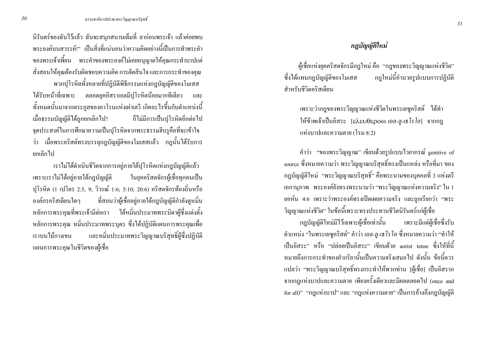้นิรันคร์ของฉันไว้แล้ว ฉันจะสนุกสนานเต็มที่ ลาก่อนพระเจ้า แล้วค่อยพบ ี พระองค์บนสวรรค์!" เป็นสิ่งที่แน่นอนว่าความคิดอย่างนี้เป็นการทำพระคำ ี ของพระเจ้าเพี้ยน พระคำของพระองค์ไม่เคยอนุญาตให้คุณกระทำบาปแต่ ้ สั่งสอนให้คุณต้องรับผิดชอบความคิด การตัดสินใจ และการกระทำของคุณ

ี พวกปุโรหิตทั้งหลายที่ปฏิบัติพิธีกรรมแห่งกฎบัญญัติของโมเสส ได้รับหน้าที่เฉพาะ ตลอดยุคอิสราเอลมีปุโรหิตน้อยมากทีเดียว และ ้ทั้งหมดนั้นมาจากตระกูลของอาโรนแห่งเผ่าเลวี เกิดอะไรขึ้นกับตำแหน่งนี้ เมื่อธรรมบัญญัติได้ถูกยกเลิกไป? ก็ไม่มีการเป็นปุโรหิตอีกต่อไป ้จดประสงค์ในการศึกษาความเป็นปโรหิตจากพระธรรมฮีบรคือที่จะเข้าใจ ี่ ว่า เมื่อพระคริสต์ทรงบรรลูกฎบัญญัติของโมเสสแล้ว กฎนั้นได้รับการ ยกเลิกไป

เราไม่ได้ดำเนินชีวิตจากการอยู่ภายใต้ปุโรหิตแห่งกฎบัญญัติแล้ว ในยกคริสตจักรผ้เชื้อทกคนเป็น เพราะเราไม่ได้อย่ภายใต้กฎบัญณัติ ปุโรหิต (1 เปโตร 2:5, 9; วิวรณ์ 1:6; 5:10; 20:6) คริสตจักรท้องถิ่นหรือ องค์กรคริสเตียนใดๆ ี ที่สอนว่าผู้เชื่ออยู่ภายใต้กฎบัญญัติกำลังดูหมิ่น หลักการพระคณที่พระเจ้ามีต่อเรา ได้หมิ่นประมาทพระบิดาผ้ซึ่งแต่งตั้ง หลักการพระคุณ หมิ่นประมาทพระบุตร ซึ่งใด้ปฏิบัติแผนการพระคุณเพื่อ และหมิ่นประมาทพระวิญญาณบริสทธิ์ผู้ซึ่งปฏิบัติ ้เราบนไม้กางเขน แผนการพระคุณในชีวิตของผู้เชื่อ

#### กฎบัญญัติใหม่

้ผู้เชื่อแห่งยคคริสตจักรมีกฎใหม่ คือ "กฎของพระวิญญาณแห่งชีวิต" ซึ่งได้แทนกฎบัญญัติของโมเสส ิกภใหม่นี้อำนวยรปแบบการปฏิบัติ สำหรับชีวิตคริสเตียบ

เพราะว่ากฎของพระวิญญาณแห่งชีวิตในพระเยซูคริสต์ ได้ทำ ให้ข้าพเจ้าเป็นอิสระ [ελευθεροω ιอล-ลู-เธโรโอ] จากกฎ แห่งบาปและความตาย (โรม 8:2)

คำว่า "ของพระวิญญาณ" เขียนด้วยรูปแบบไวยากรณ์ genitive of source ซึ่งหมายความว่า พระวิญญาณบริสุทธิ์ทรงเป็นแหล่ง หรือที่มา ของ ึกฎบัญญัติใหม่ "พระวิญญาณบริสุทธิ์" คือพระนามของบุคคลที่ 3 แห่งตรี ีเอกานุภาพ พระองค์ยังทรงพระนามว่า "พระวิญญาณแห่งความจริง" ใน 1 ยอห์น 4:6 เพราะว่าพระองค์ทรงเปิดเผยความจริง และถูกเรียกว่า "พระ ้วิญญาณแห่งชีวิต" ในข้อนี้เพราะทรงประทานชีวิตนิรันคร์แก่ผู้เชื้อ

กฎบัญญัติใหม่มีไว้เฉพาะผู้เชื่อเท่านั้น เพราะมีแต่ผู้เชื้อซึ่งรับ ้ตำแหน่ง "ในพระเยซูคริสต์" คำว่า *เอล-ลู-เธโรโอ* ซึ่งหมายความว่า "ทำให้ เป็นอิสระ" หรือ "ปล่อยเป็นอิสระ" เขียนด้วย aorist tense ซึ่งให้ที่นี้ ่ หมายถึงการกระทำของคำกริยานั้นเป็นความจริงเสมอไป ดังนั้น ข้อนี้ควร แปลว่า "พระวิญญาณบริสุทธิ์ทรงกระทำให้พวกท่าน [ผู้เชื่อ] เป็นอิสราก จากกฎแห่งบาปและความตาย เพียงครั้งเดียวและมีผลตลอดไป (once and for all)" "กฎแห่งบาป" และ "กฎแห่งความตาย" เป็นการอ้างถึงกฎบัญญัติ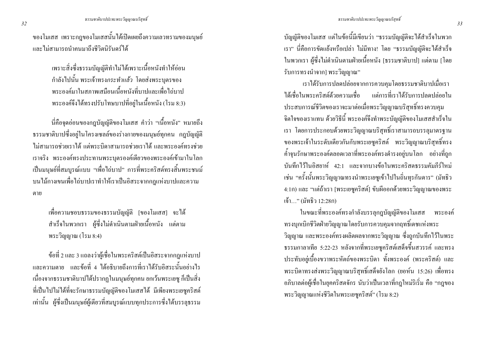ี ของโมเสส เพราะกฎของโมเสสนั้นได้เปิดเผยถึงความเลวทรามของมนุษย์ และไม่สามารถนำคนมาถึงชีวิตบิรับดร์ได้

> เพราะสิ่งซึ่งธรรมบัญญัติทำไม่ได้เพราะเนื้อหนังทำให้อ่อน ี กำลังไปนั้น พระเจ้าทรง*กระทำแล้ว* โดยส่งพระบุตรของ พระองค์มาในสภาพเสมือนเนื้อหนังที่บาปและเพื่อไถ่บาป ี พระองค์จึงได้ทรงปรับโทษบาปที่อยู่ในเนื้อหนัง (โรม 8:3)

ี่ นี่คือจุดอ่อนของกฎบัญญัติของโมเสส คำว่า "เนื้อหนัง" หมายถึง ี ธรรมชาติบาปซึ่งอยู่ในโครงเซลล์ของร่างกายของมนุษย์ทุกคน กฎบัญญัติ ใบ่สามารถช่วยเราได้ แต่พระบิดาสามารถช่วยเราได้ และพระองค์ทรงช่วย ี่ เราจริง พระองค์ทรงประทานพระบตรองค์เดียวของพระองค์เข้ามาในโลก ้เป็นมนุษย์ที่สมบูรณ์แบบ "เพื่อไถ่บาป" การที่พระคริสต์ทรงสิ้นพระชนม์ บนไม้กางเขนเพื่อไถ่บาปเราทำให้เราเป็นอิสระจากกฎแห่งบาปและความ ตาย

้ เพื่อความชอบธรรมของธรรมบัญญัติ [ของโมเสส] จะได้ สำเร็จในพวกเรา ผู้ซึ่งไม่คำเนินตามฝ่ายเนื้อหนัง แต่ตาม พระวิญญาณ (โรม 8:4)

ข้อที่ 2 และ 3 แถลงว่าผู้เชื่อในพระคริสต์เป็นอิสระจากกฎแห่งบาป และความตาย และข้อที่ 4 ได้อธิบายถึงการที่เราได้รับอิสระนั้นอย่างไร ้เนื่องจากธรรมชาติบาปใด้ปรากฏในมนุษย์ทุกคน ยกเว้นพระเยซู ก็เป็นสิ่ง ที่เป็นไปไม่ได้ที่จะรักษาธรรมบัญญัติของโมเสสได้ มีเพียงพระเยซูคริสต์ เท่านั้น ผู้ซึ่งเป็นมนุษย์ผู้เคียวที่สมบูรณ์แบบทุกประการซึ่งได้บรรลุธรรม

้ บัญญัติของโมเสส แต่ในข้อนี้มีเขียนว่า "ธรรมบัญญัติจะได้สำเร็จในพวก ี เรา" นี่คือการขัดแย้งหรือเปล่า ไม่มีทาง! โดย "ธรรมบัญญัติจะได้สำเร็จ ในพวกเรา ผู้ซึ่งไม่คำเนินตามฝ่ายเนื้อหนัง [ธรรมชาติบาป] แต่ตาม [โดย รับการทรงนำจาก] พระวิญญาณ"

ี<br>เราได้รับการปลดปล่อยจากการควบคุมโดยธรรมชาติบาปเมื่อเรา ได้เชื่อในพระคริสต์ด้วยความเชื่อ แต่การที่เราได้รับการปลดปล่อยใน ประสบการณ์ชีวิตของเราจะมาต่อเมื่อพระวิญญาณบริสทธิ์ทรงควบคม จิตใจของเราแทน ด้วยวิธีนี้ พระองค์จึงทำพระบัญญัติของโมเสสสำเร็จใน ี เรา โดยการประกอบด้วยพระวิญญาณบริสุทธิ์เราสามารถบรรลุมาตรฐาน ี ของพระเจ้าในระดับเดียวกันกับพระเยซูคริสต์ พระวิญญาณบริสุทธิ์ทรง ้ค้ำจุนรักษาพระองค์ตลอดเวลาที่พระองค์ทรงคำรงอยู่บนโลก อย่างที่ถูก ้ำบันทึกไว้ใบอิสยาห์ 42·1 และจากบางข้อใบพระคริสตธรรมคัมกีร์ใหม่ เช่น "ครั้งนั้นพระวิญญาณทรงนำพระเยซูเข้าไปในถิ่นทุรกันดาร" (มัทธิว 4:1ก) และ "แต่ถ้าเรา [พระเยซคริสต์] ขับผืออกด้วยพระวิณณาณของพระ เจ้า..." (มัทธิว 12:28ก)

ในขณะที่พระองค์ทรงกำลังบรรลุกฎบัญญัติของโมเสส พระองค์ ้ ทรงบุกเบิกชีวิตฝ่ายวิญญาณโดยรับการควบคุมจากฤทธิ์เคชแห่งพระ วิญญาณ และพระองค์ทรงผลิตผลจากพระวิญญาณ ซึ่งถูกบันทึกไว้ในพระ ธรรมกาลาเทีย 5:22-23 หลังจากที่พระเยซูคริสต์เสด็จขึ้นสวรรค์ และทรง ประทับอยู่เบื้องขวาพระหัตถ์ของพระบิดา ทั้งพระองค์ (พระคริสต์) และ พระบิดาทรงส่งพระวิญญาณบริสุทธิ์เสด็จยังโลก (ยอห์น 15:26) เพื่อทรง อภิบาลต่อผู้เชื่อในยุคคริสตจักร นับว่าเป็นเวลาที่กฎใหม่ริเริ่ม คือ "กฎของ พระวิญญาณแห่งชีวิตในพระเยซูคริสต์" (โรม 8:2)

 $33$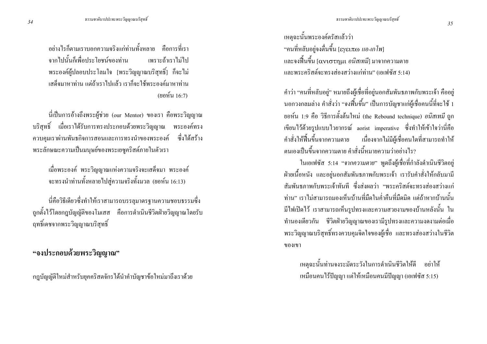ุ ธรรมชาติบาปปะทะพระวิญญาณบริสุทธิ์

้อย่างไรก็ตามเราบอกความจริงแก่ท่านทั้งหลาย คือการที่เรา ์<br>จากไปนั้นก็เพื่อประโยชน์ของท่าน ้เพราะถ้าเราไม่ไป ี พระองค์ผู้ปลอบประโลมใจ [พระวิญญาณบริสุทธิ์] ก็จะไม่ ้เสด็จมาหาท่าน แต่ถ้าเราไปแล้ว เราก็จะใช้พระองค์มาหาท่าน (ยอห์น 16:7)

นี่เป็นการอ้างถึงพระผู้ช่วย (our Mentor) ของเรา คือพระวิญญาณ ึบริสุทธิ์ เมื่อเราได้รับการทรงประกอบด้วยพระวิญญาณ พระองค์ทรง ี ควบคุมเราผ่านพันธกิจการสอนและการทรงนำของพระองค์ ซึ่งได้สร้าง พระลักษณะความเป็นมนุษย์ของพระเยซูคริสต์ภายในตัวเรา

้ เมื่อพระองค์ พระวิญญาณแห่งความจริงจะเสด็จมา พระองค์ จะทรงนำท่านทั้งหลายไปส่ความจริงทั้งมวล (ยอห์น 16:13)

นี่คือวิธีเดียวซึ่งทำให้เราสามารถบรรลุมาตรฐานความชอบธรรมซึ่ง ้ถูกตั้งไว้โคยกฎบัญญัติของโมเสส คือการคำเนินชีวิตฝ่ายวิญญาณโคยรับ ฤทธิ์เคชจากพระวิญญาณบริสุทธิ์

"จงประกอบด้วยพระวิญญาณ"

ึกฎบัญญัติใหม่สำหรับยุคคริสตจักรได้นำคำบัญชาข้อใหม่มาถึงเราด้วย

เหตุฉะนั้นพระองค์ตรัสแล้วว่า "คนที่หลับอยู่จงตื่นขึ้น [εγειπω *แอ-เกโพ*] และจงฟื้นขึ้น [ανιστημι *อนิสเทมี*] มาจากความตาย และพระคริสต์จะทรงส่องสว่างแก่ท่าน" (เอเฟซัส 5:14)

้คำว่า "คนที่หลับอยู่" หมายถึงผู้เชื่อที่อยู่นอกสัมพันธภาพกับพระเจ้า คืออยู่ ินอกวงกลมล่าง คำสั่งว่า "*จงฟื้นขึ้น*" เป็นการบัญชาแก่ผู้เชื่อคนนี้ที่จะใช้ 1 ยอห์น 1:9 คือ วิธีการตั้งต้นใหม่ (the Rebound technique) *อนิสเทมี* ถูก เขียนไว้ด้วยรูปแบบไวยากรณ์ aorist imperative ซึ่งทำให้เข้าใจว่านี่คือ ้คำสั่งให้พื้นขึ้นจากความตาย เนื่องจากไม่มีผู้เชื่อคนใดที่สามารถทำให้ ้ตนเองเป็นขึ้นจากความตาย คำสั่งนี้หมายความว่าอย่างไร?

ในเอเฟซัส 5:14 "จากความตาย" พูดถึงผู้เชื่อที่กำลังดำเนินชีวิตอยู่ ฝ่ายเนื้อหนัง และอยู่นอกสัมพันธภาพกับพระเจ้า เรารับคำสั่งให้กลับมามี ี สัมพันธภาพกับพระเจ้าทันที ซึ่งส่งผลว่า "พระคริสต์จะทรงส่องสว่างแก่ ท่าน" เราไม่สามารถมองเห็นบ้านที่มืดในค่ำคืนที่มืดมิด แต่ถ้าหากบ้านนั้น ้มีไฟเปิดไว้ เราสามารถเห็นรูปทรงและความสวยงามของบ้านหลังนั้น ใน ้ ทำนองเดียวกัน ชีวิตฝ่ายวิญญาณของเรามีรูปทรงและความงคงามต่อเมื่อ ี พระวิญญาณบริสุทธิ์ทรงควบคุมจิตใจของผู้เชื่อ และทรงส่องสว่างในชีวิต ของเขา

่ เหตุฉะนั้นท่านจงระมัคระวังในการคำเนินชีวิตให้ดี อย่าให้ เหมือนคนไร้ปัญญา แต่ให้เหมือนคนมีปัญญา (เอเฟซัส 5:15)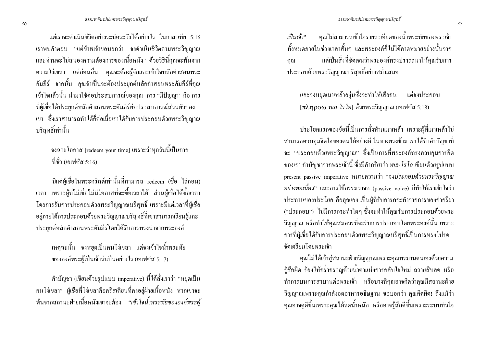ี คุณไม่สามารถเข้าใจรายละเอียดของน้ำพระทัยของพระเจ้า เป็นเจ้า" ้ทั้งหมดภายในช่วงเวลาสั้นๆ และพระองค์ก็ไม่ได้คาดหมายอย่างนั้นจาก แต่เป็นสิ่งที่ชัดเจนว่าพระองค์ทรงปรารถนาให้คุณรับการ คุณ ประกอบด้วยพระวิญญาณบริสุทธิ์อย่างสม่ำเสมอ

และจงหยุดเมาเหล้าองุ่นซึ่งจะทำให้เสียคน แต่จงประกอบ  $\pi\lambda$ ท $\rho$ o $\omega$  พเล-โรโอ] ด้วยพระวิญญาณ (เอเฟซัส 5:18)

ประโยคแรกของข้อนี้เป็นการสั่งห้ามเมาเหล้า เพราะผู้ที่เมาเหล้าไม่ ่ สามารถควบคุมจิตใจของตนใด้อย่างดี ในทางตรงข้าม เราได้รับคำบัญชาที่ ่ จะ "ประกอบด้วยพระวิญญาณ" ซึ่งเป็นการที่พระองค์ทรงควบคุมการคิด ี ของเรา คำบัญชาจากพระเจ้านี้ ซึ่งมีคำกริยาว่า *พเล-โรโอ เ*ขียนด้วยรูปแบบ present passive imperative หมายความว่า "จงประกอบด้วยพระวิญญาณ อย่างต่อเนื่อง" และการใช้กรรมวาจก (passive voice) กี่ทำให้เราเข้าใจว่า ประทานของประโยค คือคุณเอง เป็นผู้ที่รับการกระทำจากการของคำกริยา ("ประกอบ") ไม่มีการกระทำใดๆ ซึ่งจะทำให้คุณรับการประกอบด้วยพระ วิญญาณ หรือทำให้คุณสมควรที่จะรับการประกอบโดยพระองค์นั้น เพราะ ึการที่ผู้เชื่อได้รับการประกอบด้วยพระวิญญาณบริสุทธิ์เป็นการทรงโปรด จัดเตรียมโดยพระเจ้า

้คุณไม่ได้เข้าสู่สถานะฝ่ายวิญญาณเพราะคุณทรมานตนเองด้วยความ รู้สึกผิด ร้องให้คร่ำครวญด้วยน้ำตาแห่งการกลับใจใหม่ ถวายสิบลด หรือ ทำการบนการสาบานต่อพระเจ้า หรือบางที่คุณอาจคิดว่าคุณมีสถานะฝ่าย วิญญาณเพราะคุณกำลังอดอาหารอธิษฐาน ขอบอกว่า คุณคิดผิด! ถึงแม้ว่า ้คุณอาจดูดีขึ้นเพราะคุณได้ลดน้ำหนัก หรืออาจรู้สึกดีขึ้นเพราะระบบหัวใจ

แต่เราจะดำเนินชีวิตอย่างระมัคระวังได้อย่างไร ในกาลาเทีย 5:16 เราพบคำตอบ "แต่ข้าพเจ้าขอบอกว่า จงคำเนินชีวิตตามพระวิญญาณ และท่านจะไม่สนองความต้องการของเนื้อหนัง" ด้วยวิธีนี้คุณจะพ้นจาก ี ความโง่เขลา แต่ก่อนอื่น คุณจะต้องรู้จักและเข้าใจหลักคำสอนพระ ้คัมภีร์ จากนั้น คุณจำเป็นจะต้องประยุกต์หลักคำสอนพระคัมภีร์ที่คุณ ้เข้าใจแล้วนั้น นำมาใช้ต่อประสบการณ์ของคุณ การ "มีปัญญา" คือ การ ที่ผู้เชื่อได้ประยุกต์หลักคำสอนพระคัมภีร์ต่อประสบการณ์ส่วนตัวของ ี เขา - ซึ่งเราสามารถทำใค้ก็ต่อเมื่อเราได้รับการประกอบด้วยพระวิญญาณ บริสทธิ์เท่านั้น

่ จงฉวยโอกาส [redeem your time] เพราะว่าทกวันนี้เป็นกาล ี ที่ชั่ว (เอเฟซัส 5:16)

มีแต่ผู้เชื่อในพระคริสต์เท่านั้นที่สามารถ redeem (ซื้อ ไถ่ถอน) ้ เวลา เพราะผู้ที่ไม่เชื่อไม่มีโอกาสที่จะซื้อเวลาได้ ส่วนผู้เชื่อได้ซื้อเวลา โดยการรับการประกอบด้วยพระวิญญาณบริสุทธิ์ เพราะมีแต่เวลาที่ผู้เชื่อ อยู่ภายใต้การประกอบด้วยพระวิญญาณบริสุทธิ์ที่เขาสามารถเรียนรู้และ ประยุกต์หลักคำสอนพระคัมภีร์โดยใด้รับการทรงนำจากพระองค์

ี เหตุฉะนั้น จงหยุดเป็นคนโง่เขลา แต่จงเข้าใจน้ำพระทัย ขององค์พระผู้เป็นเจ้าว่าเป็นอย่างไร (เอเฟซัส 5:17)

คำบัญชา (เขียนด้วยรูปแบบ imperative) นี้ได้สั่งเราว่า "หยุดเป็น ึ คนโง่เขลา" ผู้เชื่อที่โง่เขลาคือคริสเตียนที่คงอยู่ฝ่ายเนื้อหนัง หากเขาจะ พ้นจากสถานะฝ่ายเนื้อหนังเขาจะต้อง "*เข้าใจน้ำพระทัยขององค์พระผู้*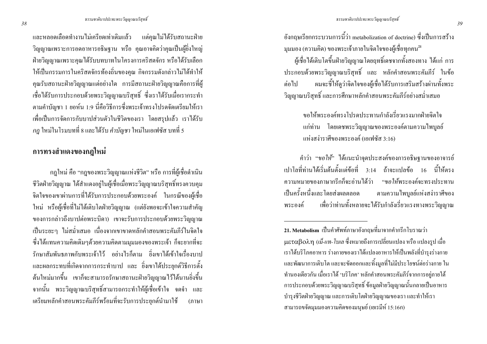้อังกฤษเรียกกระบวนการนี้ว่า metabolization of doctrine) ซึ่งเป็นการสร้าง ิมมมอง (ความคิด) ของพระเจ้าภายในจิตใจของผู้เชื้อทกคน<sup>21</sup>

ผู้เชื่อได้เติบโตขึ้นฝ่ายวิญญาณโดยฤทธิ์เดชจากทั้งสองทาง ได้แก่ การ ประกอบด้วยพระวิญญาณบริสุทธิ์ และ หลักคำสอนพระคัมภีร์ ในข้อ ผมจะชี้ให้ดูว่าจิตใจของผู้เชื่อได้รับการเสริมสร้างผ่านทั้งพระ ต่อไป ์ วิญญาณบริสุทธิ์ และการศึกษาหลักคำสอนพระคัมภีร์อย่างสม่ำเสมอ

> ้ขอให้พระองค์ทรงโปรดประทานกำลังเรี่ยวแรงมากฝ่ายจิตใจ แก่ท่าน โดยเดชพระวิญญาณของพระองค์ตามความใพบูลย์ แห่งสง่าราศีของพระองค์ (เอเฟซัส 3:16)

ี คำว่า *"ขอให้"* ได้แนะนำจุดประสงค์ของการอธิษฐานของอาจารย์ เปาโลที่ท่านได้เริ่มต้นตั้งแต่ข้อที่ 3:14 ถ้าจะแปลข้อ 16 นี้ให้ตรง ความหมายของภาษากรีกก็จะอ่านได้ว่า *้ "ขอให้*พระองค์จะทรงประทาน เป็นครั้งหนึ่งและโดยส่งผลตลอด ิตามความไพบูลย์แห่งสง่าราศีของ เพื่อว่าท่านทั้งหลายจะได้รับกำลังเรี่ยวแรงทางพระวิญญาณ พระองค์

ี และหลอดเลือดทำงานไม่เครียดเท่าเดิมแล้ว แต่คุณไม่ได้รับสถานะฝ่าย ้วิญญาณเพราะการอดอาหารอธิษฐาน หรือ คุณอาจคิดว่าคุณเป็นผู้อิ่งใหญ่ ้ฝ่ายวิญญาณเพราะคุณได้รับบทบาทในโครงการคริสตจักร หรือได้รับเลือก ให้เป็นกรรมการในคริสตจักรท้องถิ่นของคุณ กิจกรรมดังกล่าวไม่ได้ทำให้ ี คุณรับสถานะฝ่ายวิญญาณแต่อย่างใด การมีสถานะฝ่ายวิญญาณคือการที่ผู้ เชื้อใด้รับการประกอบด้วยพระวิญญาณบริสุทธิ์ ซึ่งเราได้รับเมื่อเรากระทำ ี่ ตามคำบัญชา 1 ยอห์น 1:9 นี่คือวิธีการซึ่งพระเจ้าทรงโปรคจัดเตรียมให้เรา ้เพื่อเป็นการจัดการกับบาปส่วนตัวในชีวิตของเรา โดยสรุปแล้ว เราได้รับ *ูกฎ* ใหม่ในโรมบทที่ 8 และได้รับ *คำบัญชา* ใหม่ในเอเฟซัส บทที่ 5

### ึการทรงสำแดงของกฎใหม่

่ กฎใหม่ คือ "กฎของพระวิณฌาณแห่งชีวิต" หรือ การที่ผู้เชื่อคำเนิน ชีวิตฝ่ายวิญญาณ ใด้สำแดงอยู่ในผู้เชื่อเมื่อพระวิญญาณบริสุทธิ์ทรงควบคุม ี่ จิตใจของเขาผ่านการที่ได้รับการประกอบด้วยพระองค์ ในกรณีของผู้เชื่อ ใหม่ หรือผู้เชื้อที่ไม่ได้เติบโตฝ่ายวิญญาณ (แต่ยังพอจะเข้าใจความสำคัญ ของการกล่าวถึงบาปต่อพระบิดา) เขาจะรับการประกอบด้วยพระวิญญาณ ้เป็นระยะๆ ไม่สม่ำเสมอ เนื่องจากเขาขาดหลักคำสอนพระคัมภีร์ในจิตใจ ่ ซึ่งได้แทนความคิดเดิมๆด้วยความคิดตามมุมมองของพระเจ้า ก็จะยากที่จะ ้รักษาสัมพับธภาพกับพระเจ้าไว้ อย่างไรก็ตาม ยิ่งเขาได้เข้าใจเรื่องบาป และผลกระทบที่เกิดจากการกระทำบาป และ อิ่งเขาได้ประยุกต์วิธีการตั้ง ี ต้นใหม่มากขึ้น เขาก็จะสามารถรักษาสถานะฝ่ายวิญญาณไว้ได้นานยิ่งขึ้น ิจากนั้น พระวิญญาณบริสุทธิ์สามารถกระทำให้ผู้เชื่อเข้าใจ จดจำ และ เตรียมหลักคำสอนพระคัมภีร์พร้อมที่จะรับการประยุกต์นำมาใช้ (ภาษา

<sup>21.</sup> Metabolism เป็นคำศัพท์ภาษาอังกฤษที่มาจากคำกรีกโบราณว่า  $\mu$ εταβολη (เม็-แท- โบเล ซึ่งหมายถึงการเปลี่ยนแปลง หรือ แปลงรูป เมื่อ ้ เราได้บริโภคอาหาร ร่างกายของเราได้แปลงอาหารให้เป็นพลังที่บำรุงร่างกาย ่ และพัฒนาการเดิบโต และจะขัดออกและทิ้งมูลที่ไม่มีประโยชน์ต่อร่างกาย ใน ทำนองเดียวกัน เมื่อเราได้ 'บริโภค' หลักคำสอนพระคัมภีร์จากการอยู่ภายใต้ ึการประกอบด้วยพระวิญญาณบริสุทธิ์ ข้อมูลฝ่ายวิญญาณนั้นกลายเป็นอาหาร บำรุงชีวิตฝ่ายวิญญาณ และการเติบโตฝ่ายวิญญาณของเรา และทำให้เรา ิสามารถขจัดมมมองความคิดของมนุษย์ (เยเรมีห์ 15:16ก)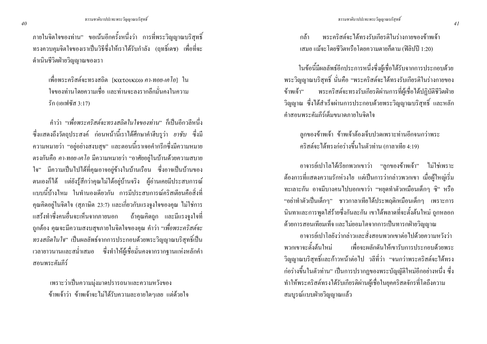ภายในจิตใจของท่าน" ขอเน้นอีกครั้งหนึ่งว่า การที่พระวิญญาณบริสุทธิ์ ทรงควบคุมจิตใจของเราเป็นวิธีซึ่งให้เราได้รับกำลัง (ฤทธิ์เคช) เพื่อที่จะ ดำเนินชีวิตฝ่ายวิญญาณของเรา

เพื่อพระคริสต์จะทรงสถิต [κατοικεω คา-ทอย-เคโอ] ใน ใจของท่านโดยความเชื้อ และท่านจะลงรากลึกมั่นคงในความ รัก (เอเฟซัส 3:17)

ิ คำว่า "เพื่อพระคริสต์จะทรงสถิตในใจของท่าน" ก็เป็นอีกวลีหนึ่ง ์ ซึ่งแสดงถึงวัตถุประสงค์ ก่อนหน้านี้เราได้ศึกษาคำฮีบรูว่า *ยาชับ* ซึ่งมี ้ความหมายว่า "อยู่อย่างสงบสุข" และตอนนี้เราเจอคำกรีกซึ่งมีความหมาย ี ตรงกันคือ *คา-ทอย-เคโอ* มีความหมายว่า "อาศัยอย่ในบ้านด้วยความสบาย ใจ" มีความเป็นไปได้ที่คณอาจอย่ข้างในบ้านเรือน ซึ่งอาจเป็นบ้านของ ิตนเองก็ได้ แต่ยังรู้สึกว่าคุณไม่ได้อยู่บ้านจริง ผู้อ่านเคยมีประสบการณ์ ้แบบนี้บ้างไหม ในทำนองเดียวกัน การมีประสบการณ์คริสเตียนคือสิ่งที่ แสร้งทำซึ่งคนอื่นจะเห็นจากภายนอก ถ้าคุณคิดถูก และมีแรงจูงใจที่ ี่ ถูกต้อง คุณจะมีความสงบสุขภายในจิตใจของคุณ คำว่า *"เพื่อพระคริสต์จะ ทรงสถิตในใจ*" เป็นผลลัพธ์จากการประกอบด้วยพระวิญญาณบริสุทธิ์เป็น ี เวลายาวนานและสม่ำเสมอ ซึ่งทำให้ผู้เชื่อมั่นคงจากรากฐานแห่งหลักคำ ิสคบพระคัมกีร์

้เพราะว่าเป็นความมุ่งมาดปรารถนาและความหวังของ ้ข้าพเจ้าว่า ข้าพเจ้าจะไม่ได้รับความละอายใดๆเลย แต่ด้วยใจ

พระคริสต์จะได้ทรงรับเกียรติในร่างกายของข้าพเจ้า ึกล้า ้ เสมอ แม้จะ โดยชีวิตหรือ โดยความตายกีตาม (ฟิลิปปี 1:20)

ในข้อนี้มีผลลัพธ์อีกประการหนึ่งซึ่งผู้เชื่อได้รับจากการประกอบด้วย พระวิญญาณบริสุทธิ์ นั่นคือ "พระคริสต์จะได้ทรงรับเกียรติในร่างกายของ ข้าพเจ้า" พระคริสต์จะทรงรับเกียรติผ่านการที่ผู้เชื้อได้ปฏิบัติชีวิตฝ่าย วิญญาณ ซึ่งได้สำเร็จผ่านการประกอบด้วยพระวิญญาณบริสุทธิ์ และหลัก ้คำสอนพระคัมกีร์เต็มขนาดภายในจิตใจ

ิลกของข้าพเจ้า ข้าพเจ้าต้องเจ็บปวดเพราะท่านอีกจนกว่าพระ ิ คริสต์จะได้ทรงก่อร่างขึ้นในตัวท่าน (กาลาเทีย 4:19)

อาจารย์เปาโลได้เรียกพวกเขาว่า "ลูกของข้าพเจ้า" ไม่ใช่เพราะ ้ต้องการที่แสดงความรักห่วงใย แต่เป็นการว่ากล่าวพวกเขา เมื่อผู้ใหญ่เริ่ม ทะเลาะกัน อาจมีบางคนไปบอกเขาว่า "หยดทำตัวเหมือนเด็กๆ ซิ่" หรือ "อย่าทำตัวเป็นเด็กๆ" ชาวกาลาเทียใด้ประพฤติเหมือนเด็กๆ เพราะการ นินทาและการพูดใส่ร้ายซึ่งกันละกัน เขาได้พลาดที่จะตั้งต้นใหม่ ถูกหลอก ้ด้วยการสอนเทียมเท็จ และ ไม่ยอมโตจากการเป็นทารกฝ่ายวิญญาณ

ิอาจารย์เปาโลยังว่ากล่าวและสั่งสอนพวกเขาต่อไปด้วยความหวังว่า พวกเขาจะตั้งต้บใหม่ ้เพื่อจะผลักดันให้เขารับการประกอบด้วยพระ ้วิญญาณบริสุทธิ์และก้าวหน้าต่อไป วลีที่ว่า "จนกว่าพระคริสต์จะได้ทรง ้ก่อร่างขึ้นในตัวท่าน" เป็นการปรากฏของพระบัญญัติใหม่อีกอย่างหนึ่ง ซึ่ง ทำให้พระคริสต์ทรงได้รับเกียรติผ่านผู้เชื่อในยุคคริสตจักรที่โตถึงความ ิสมบรณ์แบบฝ่ายวิญญาณแล้ว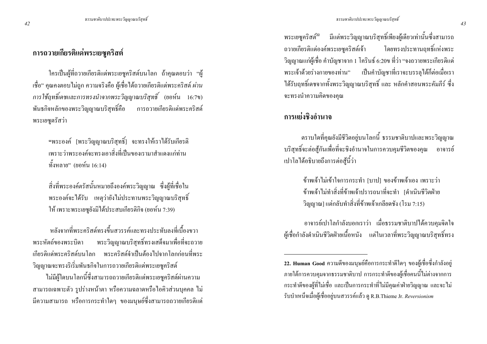ใครเป็นผู้ที่ถวายเกียรติแค่พระเยซคริสต์บนโลก ถ้าคณตอบว่า "ผ้ ้เชื้อ" คณคงตอบไม่ถก ความจริงคือ ผู้เชื้อได้ถวายเกียรติแด่พระคริสต์ ผ่าน ิ การใช้ฤทธิ์เคชและการทรงนำจากพระวิญญาณบริสุทธิ์ (ยอห์น 16:7ข) ี พันธกิจหลักของพระวิญญาณบริสุทธิ์คือ การถวายเกียรติแค่พระคริสต์ พระเยซูตรัสว่า

"พระองค์ [พระวิญญาณบริสุทธิ์] จะทรงให้เราได้รับเกียรติ เพราะว่าพระองค์จะทรงเอาสิ่งที่เป็นของเรามาสำแดงแก่ท่าน ทั้งหลาย" (ยอห์น 16:14)

สิ่งที่พระองค์ตรัสนั้นหมายถึงองค์พระวิญญาณ ซึ่งผู้ที่เชื่อใน พระองค์จะได้รับ เหตุว่ายังไม่ประทานพระวิญญาณบริสุทธิ์ ให้ เพราะพระเยซยังมิได้ประสบเกียรติกิจ (ยอห์น 7:39)

หลังจากที่พระคริสต์ทรงขึ้นสวรรค์และทรงประทับลงที่เบื้องขวา พระหัตถ์ของพระบิดา พระวิญญาณบริสุทธิ์ทรงเสด็จมาเพื่อที่จะถวาย ้เกียรติแด่พระคริสต์บบโลก พระคริสต์กำเป็นต้องไปจากโลกก่อบที่พระ วิญญาณจะทรงริเริ่มพันธกิจในการถวายเกียรติแค่พระเยซูคริสต์ ไม่มีผู้ใดบนโลกนี้ซึ่งสามารถถวายเกียรติแด่พระเยซูคริสต์ผ่านความ ิ สามารถเฉพาะตัว รูปร่างหน้าตา หรือความฉลาดหรือไอคิวส่วนบุคคล ไม่ ้มีความสามารถ หรือการกระทำใดๆ ของมนุษย์ซึ่งสามารถถวายเกียรติแค่ ธรรมชาติบาปปะทะพระวิญญาณบริสุทธิ์

ี พระเยซูคริสต์<sup>22</sup> มีแต่พระวิญญาณบริสุทธิ์เพียงผู้เดียวเท่านั้นซึ่งสามารถ โดยทรงประทานถทธิ์แห่งพระ ถวายเกียรติแค่องค์พระเยซคริสต์เจ้า วิญญาณแก่ผู้เชื่อ คำบัญชาจาก 1 โครินธ์ 6:20ข ที่ว่า "จงถวายพระเกียรติแด่ เป็นคำบัญชาที่เราจะบรรลุได้ก็ต่อเมื่อเรา พระเจ้าด้วยร่างกายของท่าน" ได้รับถทธิ์เคชจากทั้งพระวิญญาณบริสทธิ์ และ หลักคำสอนพระคัมภีร์ ซึ่ง จะทรงนำความคิดของคณ

#### การแย่งชิงอำนาจ

ี ตราบใดที่คุณยังมีชีวิตอยู่บนโลกนี้ ธรรมชาติบาปและพระวิญญาณ ้ บริสุทธิ์จะต่อสู้กันเพื่อที่จะชิงอำนาจในการควบคุมชีวิตของคุณ อาจารย์ ้เปาโลได้อธิบายถึงการต่อสู้นี้ว่า

> ้ข้าพเจ้าไม่เข้าใจการกระทำ [บาป] ของข้าพเจ้าเอง เพราะว่า ข้าพเจ้าไม่ทำสิ่งที่ข้าพเจ้าปรารถนาที่จะทำ เดำเนินชีวิตฝ่าย ้วิญญาณ] แต่กลับทำสิ่งที่ข้าพเจ้าเกลียดชัง (โรม 7:15)

่ อาจารย์เปาโลกำลังบอกเราว่า เมื่อธรรมชาติบาปใด้ควบคุมจิตใจ ผู้เชื่อกำลังคำเนินชีวิตฝ่ายเนื้อหนัง แต่ในเวลาที่พระวิญญาณบริสุทธิ์ทรง

<sup>22.</sup> Human Good ความดีของมนุษย์คือการกระทำดีใดๆ ของผู้เชื่อซึ่งกำลังอยู่ ่ ภายใต้การควบคมจากธรรมชาติบาป การกระทำดีของผู้เชื้อคนนี้ไม่ต่างจากการ ึกระทำดีของผู้ที่ไม่เชื่อ และเป็นการกระทำที่ไม่มีคุณค่าฝ่ายวิญญาณ และจะไม่ รับบำเหน็จเมื่อผู้เชื่ออยู่บนสวรรค์แล้ว ดู R.B.Thieme Jr. Reversionism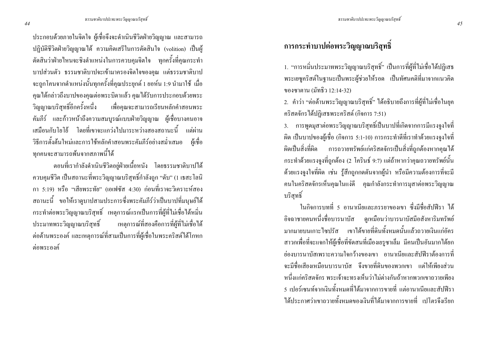ี ประกอบด้วยภายในจิตใจ ผู้เชื่อจึงจะดำเนินชีวิตฝ่ายวิญญาณ และสามารถ ปฏิบัติชีวิตฝ่ายวิญญาณได้ ความคิดเสรีในการตัดสินใจ (volition) เป็นผู้ ้ตัดสินว่าฝ่ายใหนจะชิงตำแหน่งในการควบคุมจิตใจ ทุกครั้งที่คุณกระทำ ้บาปส่วนตัว ธรรมชาติบาปจะเข้ามาครองจิตใจของคุณ แต่ธรรมชาติบาป ้ จะถูกโคนจากตำแหน่งนั้นทุกครั้งที่คุณประยุกต์ 1 ยอห์น 1:9 นำมาใช้ เมื่อ ้คุณได้กล่าวถึงบาปของคุณต่อพระบิดาแล้ว คุณได้รับการประกอบด้วยพระ วิญญาณบริสทธิ์อีกครั้งหนึ่ง ้เพื่อคณจะสามารถเรียนหลักคำสอนพระ ้คัมภีร์ และก้าวหน้าถึงความสมบูรณ์แบบฝ่ายวิญญาณ ผู้เชื่อบางคนอาจ ้ เสมือนกับโยโย้ โดยที่เขาจะแกว่งไปมาระหว่างสองสถานะนี้ แต่ผ่าน ้วิธีการตั้งด้นใหม่และการใช้หลักคำสอนพระคัมภีร์อย่างสม่ำเสมอ ผู้เชื่อ ทกคนจะสามารถพ้นจากสภาพนี้ได้

ี ตอนที่เรากำลังคำเนินชีวิตอยู่ฝ่ายเนื้อหนัง โดยธรรมชาติบาปได้ ้ ควบคุมชีวิต เป็นสถานะที่พระวิญญาณบริสุทธิ์กำลังถูก "คับ" (1 เธสะ โลนิ ึกา 5:19) หรือ "เสียพระทัย" (เอเฟซัส 4:30) ก่อนที่เราจะวิเคราะห์สอง ิ สถานะนี้ ขอให้เราคูบาปสามประการซึ่งพระคัมภีร์ว่าเป็นบาปที่มนุษย์ได้ ึกระทำต่อพระวิญญาณบริสุทธิ์ เหตุการณ์แรกเป็นการที่ผู้ที่ไม่เชื่อได้หมิ่น ประมาทพระวิญญาณบริสุทธิ์ เหตุการณ์ที่สองคือการที่ผู้ที่ไม่เชื่อได้ ้ต่อต้านพระองค์ และเหตการณ์ที่สามเป็นการที่ผู้เชื่อในพระคริสต์ใด้โกหก ต่อพระองค์

## ึการกระทำบาปต่อพระวิญญาณบริสุทธิ์

1. "การหมิ่นประมาทพระวิญญาณบริสุทธิ์" เป็นการที่ผู้ที่ไม่เชื่อได้ปฏิเสธ พระเยซูคริสต์ในฐานะเป็นพระผู้ช่วยให้รอด เป็นทัศนคติที่มาจากแนวคิด ของซาตาน (มัทธิว 12:14-32)

่ 2. คำว่า "ต่อต้านพระวิณณาณบริสทธิ์" ใค้อธิบายถึงการที่ผู้ที่ไม่เชื่อในยก คริสตจักร ได้ปฏิเสธพระคริสต์ (กิจการ 7:51)

3. การพูดมุสาต่อพระวิญญาณบริสุทธิ์เป็นบาปที่เกิดจากการมีแรงจูงใจที่ ้ผิด เป็นบาปของผู้เชื่อ (กิจการ 5:1-10) การกระทำดีที่เราทำด้วยแรงจูงใจที่ ้ผิดเป็นสิ่งที่ผิด การถวายทรัพย์แก่คริสตจักรเป็นสิ่งที่ถกต้องหากคณได้ กระทำด้วยแรงจูงที่ถูกต้อง (2 โครินธ์ 9:7) แต่ถ้าหากว่าคุณถวายทรัพย์นั้น ด้วยแรงจูงใจที่ผิด เช่น รู้สึกถูกกดดันจากผู้นำ หรือมีความต้องการที่จะมี ึคนในคริสตจักรเห็นคุณในแง่ดี คุณกำลังกระทำการมุสาต่อพระวิญญาณ บริสุทธิ์

ในกิจการบทที่ 5 อานาเนียและภรรยาของเขา ซึ่งมีชื่อสัปฟิรา ได้ ้อิจฉาชายคนหนึ่งชื่อบารนาบัส ดูเหมือนว่าบารนาบัสมือสังหาริมทรัพย์ ิ มากมายบนกาะไซปรัส เขาได้ขายที่ดิบทั้งหมดบั้นแล้วถวายเงินแก่กัดร ่ สาวกเพื่อที่จะแจกให้ผู้เชื่อที่ขัดสนที่เมืองเยรูซาเล็ม มีคนเป็นอันมากได้ยก ย่องบารนาบัสเพราะความใจกว้างของเขา อานาเนียและสัปฟิราต้องการที่ ้าะมีชื่อเสียงเหมือนบารนาบัส จึงขายที่ดินของพวกเขา แต่ให้เพียงส่วน หนึ่งแก่คริสตจักร พระเจ้าจะทรงเห็บว่าไม่ต่างกับถ้าหากพวกเขาถวายเพียง 5 เปอร์เซนท์จากเงินทั้งหมดที่ได้มาจากการขายที่ แต่อานาเนียและสัปฟิรา ้ได้ประกาศว่าเขากวายทั้งหมดของเงิบที่ได้มาจากการขายที่ เปโตรจึงเรียก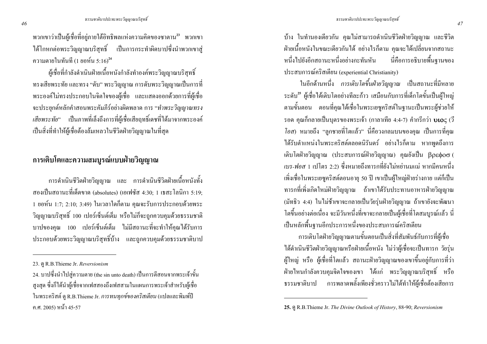ี พวกเขาว่าเป็นผู้เชื่อที่อย่ภายใต้อิทธิพลแห่งความคิดของซาตาน<sup>23</sup> พวกเขา ใค้โกหกต่อพระวิญญาณบริสทธิ์ เป็นการกระทำผิดบาปซึ่งนำพวกเขาส่ ความตายในทันที (1 ยอห์น 5:16) $^{24}$ 

ผู้เชื่อที่กำลังคำเนินฝ่ายเนื้อหนังกำลังทำองค์พระวิณฌาณบริสทธิ์ ิทรงเสียพระทัย และทรง "ดับ" พระวิญญาณ การดับพระวิญญาณเป็นการที่ พระองค์ไม่ทรงประกอบในจิตใจของผู้เชื่อ และแสดงออกด้วยการที่ผู้เชื่อ ้ จะประยกต์หลักคำสอนพระคัมภีร์อย่างผิดพลาด การ "ทำพระวิญญาณทรง *เสียพระทัย*" เป็นภาพที่เล็งถึงการที่ผู้เชื่อเสียฤทธิ์เคชที่ได้มาจากพระองค์ เป็นสิ่งที่ทำให้ผู้เชื่อต้องล้มเหลวในชีวิตฝ่ายวิญญาณในที่สุด

## การเติบโตและความสมบูรณ์แบบฝ่ายวิญญาณ

ี การคำเนินชีวิตฝ่ายวิญญาณ และ การคำเนินชีวิตฝ่ายเนื้อหนังทั้ง ิ สองเป็นสถานะที่เด็ดขาด (absolutes) (เอเฟซัส 4:30: 1 เธสะโลนิกา 5:19: 1 ยอห์น 1:7; 2:10; 3:49) ในเวลาใคกีตาม คุณจะรับการประกอบด้วยพระ ้วิญญาณบริสุทธิ์ 100 เปอร์เซ็นต์เต็ม หรือไม่ก็จะถูกควบคุมด้วยธรรมชาติ ิบาปของคุณ 100 เปอร์เซ็นต์เต็ม ไม่มีสถานะที่จะทำให้คุณได้รับการ ประกอบด้วยพระวิญญาณบริสุทธิ์บ้าง และถูกควบคุมด้วยธรรมชาติบาป

บ้าง ในทำนองเดียวกัน คุณไม่สามารถคำเนินชีวิตฝ่ายวิญญาณ และชีวิต ฝ่ายเนื้อหนังในขณะเดียวกันได้ อย่างไรก็ตาม คุณจะได้เปลี่ยนจากสถานะ หนึ่งไปยังอีกสถานะหนึ่งอย่างกะทันหัน นี่คือการอธิบายพื้นฐานของ ประสบการณ์คริสเตียน (experiential Christianity)

่ ในอีกด้านหนึ่ง *การเติบโตขึ้นฝ่ายวิญญาณ* เป็นสถานะที่มีหลาย ระดับ<sup>25</sup> ผู้เชื้อใด้เติบโตอย่างทีละก้าว เสมือนกับการที่เด็กโตขั้นเป็นผู้ใหญ่ ิตามขั้นตอน ตอนที่คณได้เชื่อในพระเยซคริสต์ในฐานะเป็นพระผ้ช่วยให้ ี รอด คุณกึกลายเป็นบุตรของพระเจ้า (กาลาเทีย 4:4-7) คำกรีกว่า **บเo**⊂ (วี *โอส*) หมายถึง "ลูกชายที่โตแล้ว" นี่คือวงกลมบนของคุณ เป็นการที่คุณ ได้รับตำแหน่งในพระคริสต์ตลอดนิรันคร์ อย่างไรก็ตาม หากพูดถึงการ เติบโตฝ่ายวิญญาณ (ประสบการณ์ฝ่ายวิญญาณ) คุณยังเป็น βρεφοσ( .เบร-ฟอส 1 เปโตร 2:2) ซึ่งหมายถึงทารกที่ยังไม่หย่านมแม่ หากมีคนหนึ่ง ้เพิ่งเชื่อในพระเยซูกริสต์ตอนอายุ 50 ปี เขาเป็นผู้ใหญ่ฝ่ายร่างกาย แต่ก็เป็น ทารกที่เพิ่งเกิดใหม่ฝ่ายวิญญาณ ถ้าเขาได้รับประทานอาหารฝ่ายวิญญาณ (มัทธิว 4:4) ในไม่ช้าเขาจะกลายเป็นวัยรุ่นฝ่ายวิญญาณ ถ้าเขายังจะพัฒนา โตขึ้นอย่างต่อเนื่อง จะมีวันหนึ่งที่เขาจะกลายเป็นผ้เชื่อที่โตสมบรณ์แล้ว นี่ ้เป็นหลักพื้นจานอีกประการหนึ่งของประสบการณ์คริสเตียน

ี การเติบโตฝ่ายวิญญาณตามขั้นตอนเป็นสิ่งที่สัมพันธ์กับการที่ผู้เชื่อ ใด้คำเนินชีวิตฝ่ายวิญญาณหรือฝ่ายเนื้อหนัง ไม่ว่าผู้เชื่อจะเป็นทารก วัยรุ่น ผู้ใหญ่ หรือ ผู้เชื่อที่โตแล้ว สถานะฝ่ายวิญญาณของเขาขึ้นอยู่กับการที่ว่า ้ฝ่ายใหนกำลังควบคุมจิตใจของเขา ใด้แก่ พระวิญญาณบริสุทธิ์ หรือ ธรรมชาติบาป การพลาดพลั้งเพียงชั่วคราวไม่ได้ทำให้ผู้เชื่อต้องเสียการ

<sup>23.</sup> ดู R.B.Thieme Jr. Reversionism

<sup>24.</sup> บาปซึ่งนำไปสู่ความตาย (the sin unto death) เป็นการตีสอนจากพระเจ้าขั้น ิสูงสุด ซึ่งก็ได้นำผู้เชื่อจากเฟสสองถึงเฟสสามในแผนการพระเจ้าสำหรับผู้เชื่อ ในพระคริสต์ ดู R.B.Thieme Jr. การทนทุกข์ของคริสเตียน (แปลและพิมพ์ปี ค.ศ. 2005) หน้า 45-57

<sup>25. @</sup> R.B.Thieme Jr. The Divine Outlook of History, 88-90; Reversionism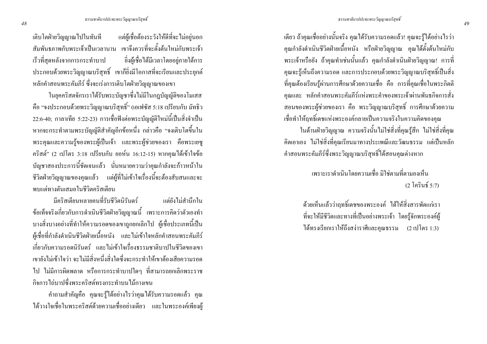้เดียว ถ้าคุณเชื่ออย่างนั้นจริง คุณได้รับความรอดแล้ว! คุณจะรู้ได้อย่างไรว่า ้คุณกำลังคำเนินชีวิตฝ่ายเนื้อหนัง หรือฝ่ายวิญญาณ คุณได้ตั้งต้นใหม่กับ พระเจ้าหรือยัง ถ้าคุณทำเช่นนั้นแล้ว คุณกำลังคำเนินฝ่ายวิญญาณ! การที่ ้คุณจะรู้เห็นถึงความรอด และการประกอบด้วยพระวิญญาณบริสุทธิ์เป็นสิ่ง ที่คุณต้องเรียนรู้ผ่านการศึกษาด้วยความเชื่อ คือ การที่คุณเชื่อในพระกิตติ ึคณและ หลักคำสอนพระคัมภีร์แห่งพระคำของพระเจ้าผ่านพันธกิจการสั่ง ิสอนของพระผู้ช่วยของเรา คือ พระวิญญาณบริสุทธิ์ การศึกษาด้วยความ เชื่อทำให้ฤทธิ์เคชแห่งพระองค์กลายเป็นความจริงในความคิดของคุณ ในด้านฝ่ายวิญญาณ ความจริงนั้นไม่ใช่สิ่งที่คุณรู้สึก ไม่ใช่สิ่งที่คุณ คำสอนพระคัมภีร์ซึ่งพระวิญญาณบริสุทธิ์ได้สอนคุณต่างหาก

> ้ เพราะเราดำเนินโดยความเชื่อ มิใช่ตามที่ตามองเห็น  $(2)$  โครินธ์ 5:7)

้ด้วยเห็นแล้วว่าถุทธิ์เคชของพระองค์ "ได้ให้สิ่งสารพัดแก่เรา ที่จะให้มีชีวิตและทางที่เป็นอย่างพระเจ้า โดยรู้จักพระองค์ผู้ ใค้ทรงเรียกเราให้ถึงสง่าราศีและคุณธรรม (2 เปโตร 1:3)

แต่ผู้เชื่อต้องระวังให้ดีที่จะไม่อยู่นอก เติบโตฝ่ายวิญญาณไปในทันที ี สัมพันธภาพกับพระเจ้าเป็นเวลานาน เขาจึงควรที่จะตั้งต้นใหม่กับพระเจ้า เร็วที่สุดหลังจากการกระทำบาป ้ ยิ่งผู้เชื้อได้มีเวลาโดยอยู่ภายใต้การ ประกอบด้วยพระวิญญาณบริสุทธิ์ เขาก็ยิ่งมีโอกาสที่จะเรียนและประยุกต์ หลักคำสอนพระคัมภีร์ ซึ่งจะเร่งการเติบโตฝ่ายวิญญาณของเขา

ในยุคคริสตจักรเราได้รับพระบัญชาซึ่งไม่มีในกฎบัญญัติของโมเสส ้คือ "จงประกอบด้วยพระวิญญาณบริสุทธิ์" (เอเฟซัส 5:18 เปรียบกับ มัทธิว 22:6-40; กาลาเทีย 5:22-23) การเชื่อฟังต่อพระบัญญัติใหม่นี้เป็นสิ่งจำเป็น หากจะกระทำตามพระบัญญัติสำคัญอีกข้อหนึ่ง กล่าวคือ "จงเติบโตขึ้นใน พระคุณและความรู้ของพระผู้เป็นเจ้า และพระผู้ช่วยของเรา คือพระเยซู คริสต์" (2 เปโตร 3:18 เปรียบกับ ยอห์น 16:12-15) หากคุณได้เข้าใจข้อ ้บัญชาสองประการนี้ชัดเจนแล้ว นั่นหมายความว่าคุณกำลังจะก้าวหน้าใน ้ชีวิตฝ่ายวิญญาณของคุณแล้ว แต่ผู้ที่ไม่เข้าใจเรื่องนี้จะต้องสับสนและจะ พบแต่ทางตับเสมอใบชีวิตคริสเตียบ

มีคริสเตียนหลายคนที่รับชีวิตบิรับดร์ แต่ยังไบ่สำบึกใบ ี ข้อเท็จจริงเกี่ยวกับการคำเนินชีวิตฝ่ายวิญญาณนี้ เพราะการคิดว่าตัวเองทำ ้บางสิ่งบางอย่างที่ทำให้ความรอดของเขาถูกยกเลิกไป ผู้เชื่อประเภทนี้เป็น ้ผู้เชื่อที่กำลังคำเนินชีวิตฝ่ายเนื้อหนัง และไม่เข้าใจหลักกำสอนพระคัมภีร์ ้เกี่ยวกับความรอดบิรับดร์ และไม่เข้าใจเรื่องธรรมชาติบาปใบชีวิตของเขา ้ เขายังไม่เข้าใจว่า จะไม่มีสิ่งหนึ่งสิ่งใดซึ่งจะกระทำให้เขาต้องเสียความรอด ไป ไม่มีการผิดพลาด หรือการกระทำบาปใดๆ ที่สามารถยกเลิกพระราช กิจการไถ่บาปซึ่งพระคริสต์ทรงกระทำบนไม้กางเขน

้คำถามสำคัญคือ คุณจะรู้ได้อย่างไรว่าคุณได้รับความรอดแล้ว คุณ ใค้วางใจเชื่อในพระคริสต์ค้วยความเชื่ออย่างเดียว และในพระองค์เพียงผ้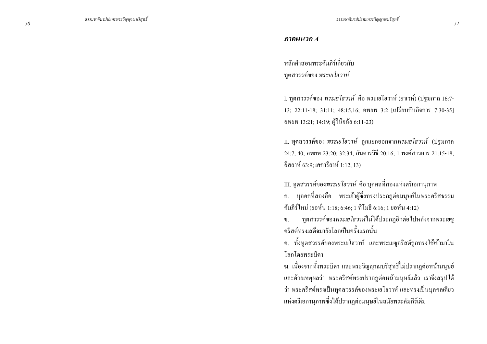#### ภาคผนวก $A$

หลักคำสอนพระคัมภีร์เกี่ยวกับ ทูตสวรรค์ของ พระเยโฮวาห์

I. ทูตสวรรค์ของ พระเยโฮวาห์ คือ พระเยโฮวาห์ (ยาเวห์) (ปฐมกาล 16:7-13; 22:11-18; 31:11; 48:15,16; อพยพ 3:2 [เปรียบกับกิจการ 7:30-35] อพยพ 13:21; 14:19; ผู้วินิจฉัย 6:11-23)

II. ทูตสวรรค์ของ พระเยโฮวาห์ ถูกแยกออกจากพระเยโฮวาห์ (ปฐมกาล 24:7, 40; อพยพ 23:20; 32:34; กันดารวิธี 20:16; 1 พงศ์สาวดาร 21:15-18; อิสยาห์ 63:9: เศคาริยาห์ 1:12, 13)

III. ทูตสวรรค์ของ*พระเยโฮวาห์*  คือ บุคคลที่สองแห่งตรีเอกานุภาพ ึก. บุคคลที่สองคือ พระเจ้าผู้ซึ่งทรงประกฎต่อมนุษย์ในพระคริสธรรม ้คัมภีร์ใหม่ (ยอห์น 1:18: 6:46: 1 ทิโมธี 6:16: 1 ยอห์น 4:12)

ทูตสวรรค์ของ*พระเยโฮวาห์*ใม่ได้ประกฎอีกต่อไปหลังจากพระเยซู  $\mathbf{u}$ . ้คริสต์ทรงเสด็จมายังโลกเป็นครั้งแรกบั้น

ี ค. ทั้งทูตสวรรค์ของพระเยโฮวาห์ และพระเยซูคริสต์ถูกทรงใช้เข้ามาใน โลกโดยพระบิดา

ฆ. เนื่องจากทั้งพระบิดา และพระวิญญาณบริสุทธิ์ไม่ปรากฏต่อหน้ามนุษย์ และด้วยเหตุผลว่า พระคริสต์ทรงปรากฏต่อหน้ามนุษย์แล้ว เราจึงสรุปได้ ว่า พระคริสต์ทรงเป็นทูตสวรรค์ของพระเยโฮวาห์ และทรงเป็นบุคคลเดียว แห่งตรีเอกานภาพซึ่งได้ปรากฏต่อมนุษย์ในสมัยพระคัมภีร์เดิม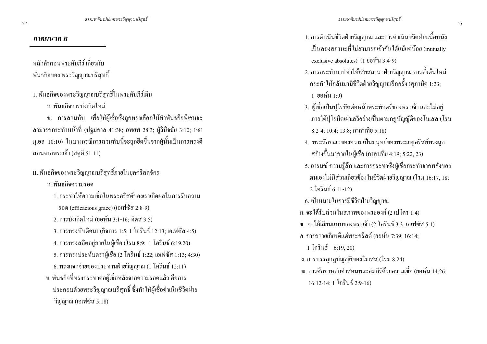หลักกำสอนพระคัมภีร์ เกี่ยวกับ พันธกิจของ พระวิญญาณบริสุทธิ์

1. พันธกิจของพระวิญญาณบริสุทธิ์ในพระคัมภีร์เคิม ึก พันธกิจการบังเกิดใหม่

ึง. การสวมทับ เพื่อให้ผู้เชื่อซึ่งถูกทรงเลือกให้ทำพันธกิจพิเศษจะ ิ สามารถกระทำหน้าที่ (ปฐมกาล 41:38; อพยพ 28:3; ผู้วินิจฉัย 3:10; 1ซา มูเอล 10:10) ในบางกรณีการสวมทับนี้จะถูกยึดขึ้นจากผู้นั้นเป็นการทรงตี สอนจากพระเจ้า (สคูคี 51:11)

II. พันธกิจของพระวิญญาณบริสุทธิ์ภายในยุคคริสตจักร ึก. พันธุกิจความรอด 1 กระทำให้ความเชื่อใบพระคริสต์ของเราเกิดผลใบการรับความ รอด (efficacious grace) (เอเฟซัส 2:8-9) 2. การบังเกิดใหม่ (ยอห์น 3:1-16; ทิตัส 3:5) 3. การทรงบับติศมา (กิจการ 1:5; 1 โครินธ์ 12:13; เอเฟซัส 4:5) 4. การทรงสถิตอยู่ภายในผู้เชื่อ (โรม 8:9; 1 โครินธ์ 6:19,20) 5. การทรงประทับตราผู้เชื้อ (2 โครินธ์ 1:22; เอเฟซัส 1:13; 4:30) 6. ทรงแจกจ่ายของประทานฝ่ายวิญญาณ (1 โครินธ์ 12:11) ึ่ง. พันธกิจที่ทรงกระทำต่อผู้เชื่อหลังจากความรอดแล้ว คือการ ประกอบด้วยพระวิญญาณบริสุทธิ์ ซึ่งทำให้ผู้เชื่อดำเนินชีวิตฝ่าย วิญญาณ (เอเฟซัส 5:18)

- 1. การคำเนินชีวิตฝ่ายวิญญาณ และการคำเนินชีวิตฝ่ายเนื้อหนัง ้เป็นสองสถานะที่ไม่สามารถเข้ากันได้แม้แต่น้อย (mutually exclusive absolutes) (1 ยอห์น 3:4-9)
- ่ 2. การกระทำบาปทำให้เสียสถานะฝ่ายวิญญาณ การตั้งต้นใหม่ ึกระทำให้กลับมามีชีวิตฝ่ายวิญญาณอีกครั้ง (สุภาษิต 1:23; 1 ยอห์น 1:9)
- ่ 3. ผู้เชื่อเป็นปโรหิตต่อหน้าพระพักตร์ของพระเจ้า และ ไม่อย่ ิภายใต้ปุโรหิตเผ่าเลวีอย่างเป็นตามกฎบัญญัติของโมเสส (โรม 8:2-4: 10:4: 13:8: กาลาเทีย 5:18)
- 4. พระลักษณะของความเป็นมนุษย์ของพระเยซูคริสต์ทรงถูก ิสร้างขึ้นมาภายในผู้เชื้อ (กาลาเทีย 4:19; 5:22, 23)
- ่ 5. อารมณ์ ความรู้สึก และการกระทำซึ่งผู้เชื้อกระทำจากพลังของ ิตนเองไม่มีส่วนเกี่ยวข้องในชีวิตฝ่ายวิญญาณ (โรม 16:17, 18; 2 โคริบซ์ 6·11-12)
- 6. เป้าหมายในการมีชีวิตฝ่ายวิญญาณ ึก. จะใด้รับส่วนในสภาพของพระองค์ (2 เปโตร 1:4) ข. จะใด้เลียนแบบของพระเจ้า (2 โครินธ์ 3:3; เอเฟซัส 5:1) ึค. การถวายเกียรติแค่พระคริสต์ (ยอห์น 7:39: 16:14: 1 โครินธ์ 6:19, 20) ึง. การบรรลุกฎบัญญัติของโมเสส (โรม 8:24) ี ฆ. การศึกษาหลักคำสอนพระคัมภีร์ด้วยความเชื่อ (ยอห์น 14:26: 16:12-14: 1 โครินธ์ 2:9-16)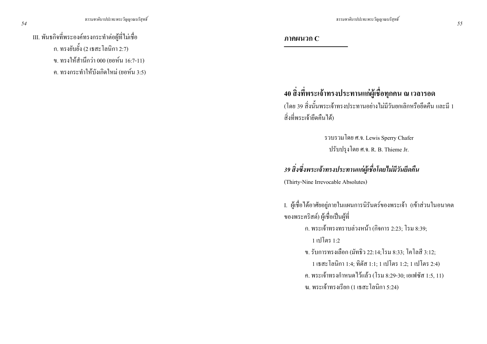III. พันธกิจที่พระองค์ทรงกระทำต่อผู้ที่ไม่เชื่อ ึก. ทรงยับยั้ง (2 เธสะ โลนิกา 2:7) ข. ทรงให้สำนึกว่า 000 (ยอห์น 16:7-11) ค. ทรงกระทำให้บังเกิดใหม่ (ยอห์น 3:5)

ภาคผนวก $C$ 

40 สิ่งที่พระเจ้าทรงประทานแก่ผู้เชื่อทุกคน ณ เวลารอด

(โดย 39 สิ่งนั้นพระเจ้าทรงประทานอย่างไม่มีวันยกเลิกหรือยึดคืน และมี 1 สิ่งที่พระเจ้ายึดคืนได้)

> รวบรวมโดย ศ.จ. Lewis Sperry Chafer ปรับปรุงโดย ศ.จ. R. B. Thieme Jr.

39 สิ่งซึ่งพระเจ้าทรงประทานแก่ผู้เชื่อโดยไม่มีวันยึดคืน

(Thirty-Nine Irrevocable Absolutes)

I. ผู้เชื้อใด้อาศัยอยู่ภายในแผนการนิรันดร์ของพระเจ้า (เข้าส่วนในอนาคต ของพระคริสต์) ผู้เชื่อเป็นผู้ที่

- ึก. พระเจ้าทรงทราบล่วงหน้า (กิจการ 2:23; โรม 8:39;  $1$  เป $\tilde{1}$ ตร 1 $\cdot$ 2
- ข. รับการทรงเลือก (มัทธิว 22:14:โรม 8:33: โคโลสี 3:12: 1 เธสะ โลนิกา 1:4; ทิตัส 1:1; 1 เปโตร 1:2; 1 เปโตร 2:4) ค. พระเจ้าทรงกำหนดไว้แล้ว (โรม 8:29-30; เอเฟซัส 1:5, 11)

ฆ. พระเจ้าทรงเรียก (1 เธสะ โลนิกา 5:24)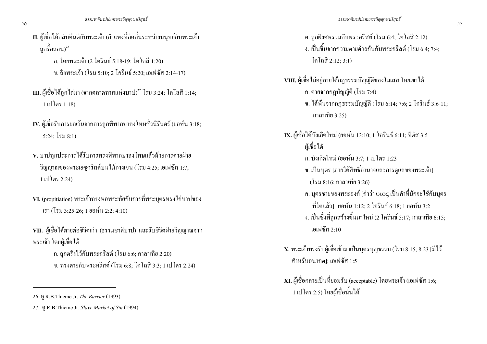$\,$  **II.** ผู้เชื้อได้กลับกืนดีกับพระเจ้า (กำแพงที่กีดกั้นระหว่างมนุษย์กับพระเจ้า ี่ ถกรีือถอน)<sup>26</sup>

ก. โดยพระเจ้า (2 โครินธ์ 5:18-19; โคโลสี 1:20) ข. ถึงพระเจ้า (โรม 5:10; 2 โครินธ์ 5:20; เอเฟซัส 2:14-17)

- **III.** ผู้เชื่อได้ถูกไถ่มา (จากตลาดทาสแห่งบาป)<sup>27</sup> โรม 3:24; โคโลสี 1:14; 1 เปโตร 1:18)
- **IV.** ผู้เชื้อรับการยกเว้นจากการถูกพิพากษาลงโทษชั่วนิรันดร์ (ยอห์น 3:18;  $5:24$ ;  $\tilde{15}$ ม  $8:1$ )
- ${\bf v}$ . บาปทุกประการได้รับการทรงพิพากษาลงโทษแล้วด้วยการตายฝ่าย วิญญาณของพระเยซูคริสต์บนไม้กางเขน (โรม 4:25; เอเฟซัส 1:7; 1 g 2:24)
- ${\bf VI.}$  (propitiation) พระเจ้าทรงพอพระทัยกับการที่พระบุตรทรง<sup>แ</sup>ถ่บาปของ เรา (โรม 3:25-26; 1 ยอห์น 2:2; 4:10)

VII. ผู้เชื่อได้ตายต่อชีวิตเก่า (ธรรมชาติบาป) และรับชีวิตฝ่ายวิญญาณจาก พระเจ้า โดยผู้เชื้อได้

ึก. ถกตรึงไว้กับพระคริสต์ (โรม 6:6: กาลาเทีย 2:20) ข. ทรงตายกับพระคริสต์ (โรม 6:8; โคโลสี 3:3; 1 เปโตร 2:24)

ค. ถูกฝังศพรวมกับพระคริสต์ (โรม 6:4; โคโลสี 2:12) ง. เป็นขึ้นจากความตายด้วยกันกับพระคริสต์ (โรม 6:4; 7:4; โคโลสี 2:12; 3:1)

- VIII. ผู้เชื่อ ไม่อยู่ภายใต้กฎธรรมบัญญัติของโมเสส โดยเขาได้ ก. ตายจากกฎบัญญัติ (โรม  $7:4$ )
- ข. ได้พ้นจากกฎธรรมบัญญัติ (โรม 6:14; 7:6; 2 โครินธ์ 3:6-11; ิกาลาเทีย 3:25)
- **IX.** ผู้เชื้อได้บังเกิดใหม่ (ยอห์น 13:10; 1 โครินธ์ 6:11; ทิตัส 3:5 ผู้เชื้อได้
- ก. บังเกิดใหม่ (ยอห์น 3:7; 1 เปโตร 1:23
- ข. เป็นบุตร [ภายใต้สิทธิ์อำนาจและการดูแลของพระเจ้า]  $($ โรม 8:16; กาลาเทีย 3:26)
- ก. บุตรชายของพระองค์ [คำว่า υιος เป็นคำที่มักจะใช้กับบุตร ที่โตแล้ว| ยอห์น 1:12; 2 โครินธ์ 6:18; 1 ยอห์น 3:2 ง. เป็นซึ่งที่ถูกสร้างขึ้นมาใหม่ (2 โครินธ์ 5:17; กาลาเทีย 6:15;

ี เอเฟซัส 2:10

- ${\bf x}$ . พระเจ้าทรงรับผู้เชื่อเข้ามาเป็นบุตรบุญธรรม (โรม 8:15; 8:23 [มีไว้ ี สำหรับอนาคต1: เอเฟซัส 1:5
- **XI.** ผู้เชื่อกลายเป็นที่ยอมรับ (acceptable) โดยพระเจ้า (เอเฟซัส 1:6; 1 เปโตร 2:5) โดยผู้เชื่อนั้นได้

<sup>26.</sup> C R.B.Thieme Jr. *The Barrier* (1993)

<sup>27.</sup> **A R.B.Thieme Jr.** *Slave Market of Sin* (1994)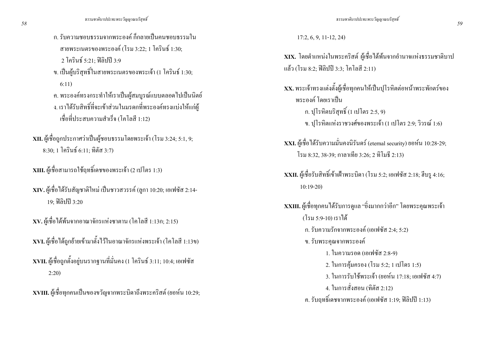ึก. รับความชอบธรรมจากพระองค์ ก็กลายเป็นคนชอบธรรมใน ิสายพระเนตรของพระองค์ (โรม 3:22; 1 โครินธ์ 1:30; 2 โครินธ์ 5:21; ฟิลิปปี 3:9 ข. เป็นผู้บริสุทธิ์ในสายพระเนตรของพระเจ้า (1 โครินธ์ 1:30;  $6:11)$ ิ ค. พระองค์ทรงกระทำให้เราเป็นผู้สมบูรณ์แบบตลอดไปเป็นนิตย์

ึง. เราได้รับสิทธิ์ที่จะเข้าส่วนในมรดกที่พระองค์ทรงแบ่งให้แก่ผู้ เชื่อที่ประสบความสำเร็จ (โคโลสี 1·12)

XIII. ผู้เชื้อสามารถใช้ถุทธิ์เคชของพระเจ้า (2 เปโตร 1:3)

XIV. ผู้เชื้อใด้รับสัญชาติใหม่ เป็นชาวสวรรค์ (ลูกา 10:20; เอเฟซัส 2:14-19; ฟิลิปปี 3:20

 $\bf{XV}$ . ผู้เชื้อได้พ้นจากอาณาจักรแห่งซาตาน (โคโลสี 1:13ก; 2:15)

XVI. ผู้เชื้อได้ถูกย้ายเข้ามาตั้งไว้ในอาณาจักรแห่งพระเจ้า (โคโลสี 1:13ข)

XVII. ผู้เชื่อถูกตั้งอยู่บนรากฐานที่มั่นคง (1 โครินธ์ 3:11; 10:4; เอเฟซัส  $2:20$ 

XVIII. ผู้เชื่อทุกคนเป็นของขวัญจากพระบิดาถึงพระคริสต์ (ยอห์น 10:29;

 $17:2, 6, 9, 11-12, 24$ 

XIX. โดยตำแหน่งในพระคริสต์ ผู้เชื้อได้พ้นจากอำนาจแห่งธรรมชาติบาป แล้ว (โรม 8:2: ฟิลิปปี 3:3: โคโลสี 2:11)

XX. พระเจ้าทรงแต่งตั้งผู้เชื่อทุกคนให้เป็นปุโรหิตต่อหน้าพระพักตร์ของ พระองค์ โดยเราเป็น ก. ปุโรหิตบริสุทธิ์ (1 เปโตร 2:5, 9) ข. ปุโรหิตแห่งราชวงศ์ของพระเจ้า (1 เปโตร 2:9; วิวรณ์ 1:6)

 $\bold{XXI}$ . ผู้เชื้อได้รับความมั่นคงนิรันดร์ (eternal security) ยอห์น 10:28-29; โรม 8:32, 38-39; กาลาเทีย 3:26; 2 ทิโมธี 2:13)

 $\overline{\textbf{XXII}}$ . ผู้เชื้อรับสิทธิ์เข้าเฝ้าพระบิดา (โรม 5:2: เอเฟซัส 2:18: ฮีบร 4:16:  $10:19-20$ 

XXIII. ผู้เชื้อทุกคนได้รับการดูแล "ซิ่งมากกว่าอีก" โดยพระคุณพระเจ้า (โรม 5:9-10) เราได้ ึก. รับความรักจากพระองค์ (เอเฟซัส 2:4: 5:2) ข. รับพระคณจากพระองค์ 1. ในความรอด (เอเฟซัส 2:8-9) 2. ในการคุ้มครอง (โรม 5:2; 1 เปโดร 1:5) 3. ในการรับใช้พระเจ้า (ยอห์น 17:18: เอเฟซัส 4:7) 4. ในการสั่งสอน (ทิตัส 2:12) ี ค. รับฤทธิ์เคชจากพระองค์ (เอเฟซัส 1:19; ฟิลิปปี 1:13)

**XII.** ผู้เชื้อถูกประกาศว่าเป็นผู้ชอบธรรมโดยพระเจ้า (โรม 3:24; 5:1, 9; 8:30: 1 โครินธ์ 6:11: ทิตัส 3:7)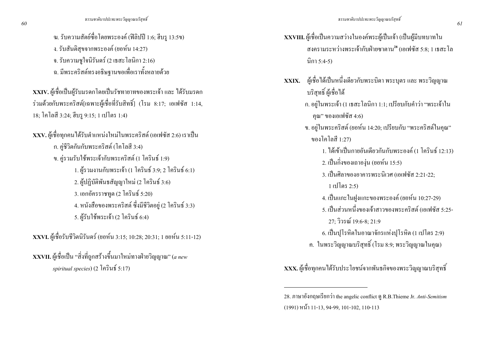ี ฆ. รับความสัตย์ซื่อโดยพระองค์ (ฟิลิปปี 1:6; ฮีบรู 13:5ข) ง. รับสันติสุขจากพระองค์ (ยอห์น 14:27) ึจ. รับความชูใจนิรันดร์ (2 เธสะ โลนิกา 2:16) ิฉ. มีพระคริสต์ทรงอธิษฐานขอเพื่อเราทั้งหลายด้วย

XXIV. ผู้เชื่อเป็นผู้รับมรดกโดยเป็นรัชทายาทของพระเจ้า และ ได้รับมรดก ร่วมด้วยกับพระคริสต์[เฉพาะผู้เชื่อที่รับสิทธิ์] (โรม 8:17: เอเฟซัส 1:14. 18: โคโลสี 3:24: ฮีบร 9:15: 1 เปโตร 1:4)

 $\bold{XXV}$ . ผู้เชื้อทกคน ได้รับตำแหน่งใหม่ในพระคริสต์ (เอเฟซัส 2:6) เราเป็น ก. คู่ชีวิตกันกับพระคริสต์ (โคโลสี 3:4) ข. ค่รวมรับใช้พระเจ้ากับพระคริสต์ (1 โครินธ์ 1:9) 1. ผู้รวมงานกับพระเจ้า (1 โครินธ์ 3:9; 2 โครินธ์ 6:1) 2. ฝั่ปฏิบัติพันธสัญญาใหม่ (2 โครินธ์ 3:6) 3. เอกอัครราชทต (2 โครินธ์ 5:20) 4. หนังสือของพระคริสต์ ซึ่งมีชีวิตอย่ (2 โครินธ์ 3:3) 5. ผู้รับใช้พระเจ้า (2 โครินธ์ 6:4)

XXVI. ผู้เชื่อรับชีวิตนิรันคร์ (ยอห์น 3:15; 10:28; 20:31; 1 ยอห์น 5:11-12)

XXVII. ผู้เชื่อเป็น "สิ่งที่ถูกสร้างขึ้นมาใหม่ทางฝ่ายวิญญาณ" (a new *spiritual species*) (2 โครินช์ 5:17)

XXVIII. ผู้เชื่อเป็นความสว่างในองค์พระผู้เป็นเจ้า (เป็นผู้มีบทบาทใน สงครามระหว่างพระเจ้ากับฝ่ายซาตาน<sup>28</sup> (เอเฟซัส 5:8: 1 เธสะ โล นิกา 5:4-5)

ผู้เชื้อได้เป็นหนึ่งเดียวกับพระบิดา พระบุตร และ พระวิณญาณ XXIX. บริสทธิ์ ผู้เชื้อได้ ึก. อยู่ในพระเจ้า (1 เธสะ โลนิกา 1:1; เปรียบกับคำว่า "พระเจ้าใน คณ" ของเอเฟซัส 4:6) ึง. อยู่ในพระคริสต์ (ยอห์น 14:20; เปรียบกับ "พระคริสต์ในคุณ" ึขคงโคโลสี 1∙27) 1. ได้เข้าเป็นกายอันเดียวกันกับพระองค์ (1 โครินธ์ 12:13) 2. เป็นกิ่งของเถาองุ่น (ยอห์น 15:5) 3. เป็นศิลาของอาคารพระนิเวศ (เอเฟซัส 2:21-22: 1 เปโตร 2:5) 4. เป็นแกะในฝงแกะของพระองค์ (ยอห์น 10:27-29) 5. เป็นส่วนหนึ่งของเจ้าสาวของพระคริสต์ (เอเฟซัส 5:25-27; วิวรณ์ 19:6-8; 21:9 6. เป็นปโรหิตในอาณาจักรแห่งปโรหิต (1 เปโตร 2:9) ี ค. ในพระวิญญาณบริสทธิ์ (โรม 8:9: พระวิญญาณในคณ)

 $\bold{XXX}$ . ผู้เชื่อทุกคน ได้รับประ โยชน์จากพันธกิจของพระวิญญาณบริสุทธิ์

<sup>28.</sup> ภาษาอังกฤษเรียกว่า the angelic conflict ดู R.B.Thieme Jr. Anti-Semitism (1991) หน้า 11-13, 94-99, 101-102, 110-113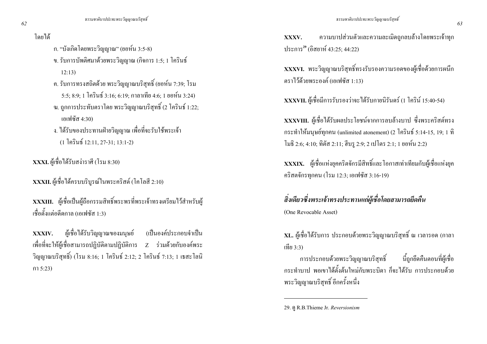โดยได้

- ึก. "บังเกิดโดยพระวิญญาณ" (ยอห์น 3:5-8)
- ี ข. รับการบัพติศมาด้วยพระวิญญาณ (กิจการ 1:5; 1 โครินธ์  $12:13)$
- ี ค. รับการทรงสถิตด้วย พระวิญญาณบริสุทธิ์ (ยอห์น 7:39; โรม 5:5; 8:9; 1 โครินธ์ 3:16; 6:19; กาลาเทีย 4:6; 1 ยอห์น 3:24) ี ฆ. ถกการประทับตราโดย พระวิณณาณบริสทธิ์ (2 โครินธ์ 1:22:
	- เอเฟซัส 4:30)
- ึง. ได้รับของประทานฝ่ายวิญญาณ เพื่อที่จะรับใช้พระเจ้า (1 โครินช์ 12:11, 27-31; 13:1-2)

**xxxı.** ผู้เชื้อได้รับสง่าราศี (โรม 8:30)

XXXII. ผู้เชื้อ ได้ครบบริบูรณ์ในพระคริสต์ (โคโลสี 2:10)

XXXIII. ผู้เชื่อเป็นผู้ถือกรรมสิทธิ์พระพรที่พระเจ้าทรงเตรียมไว้สำหรับผู้ เชื้อตั้งแต่อดีดกาล (เอเฟซัส 1:3)

ผู้เชื้อใด้รับวิญญาณของมนุษย์ (เป็นองค์ประกอบจำเป็น XXXIV. ู เพื่อที่จะให้ผู้เชื่อสามารถปฏิบัติตามปฏิบัติการ Z ร่วมด้วยกับองค์พระ วิ่งจาณบริสทธิ์) (โรม 8:16: 1 โครินธ์ 2:12: 2 โครินธ์ 7:13: 1 เธสะโลนิ  $n15:23$ 

ิ ความบาปส่วนตัวและความละเมิดถูกลบล้างโดยพระเจ้าทุก XXXV. ประการ<sup>29</sup> (อิสยาห์ 43:25: 44:22)

XXXVI. พระวิญญาณบริสุทธิ์ทรงรับรองความรอดของผู้เชื่อด้วยการผนึก ตราไว้ด้วยพระองค์ (เอเฟซัส 1·13)

 $\overline{\textbf{XXVII}}$ . ผู้เชื่อมีการรับรองว่าจะ ได้รับกายนิรันคร์ (1 โคริน์ 15:40-54)

XXXVIII. ผู้เชื่อได้รับผลประโยชน์จากการลบล้างบาป ซึ่งพระคริสต์ทรง กระทำให้มนษย์ทกคน (unlimited atonement) (2 โครินธ์ 5:14-15, 19; 1 ทิ โมธิ์ 2:6: 4:10: ทิตัส 2:11: ฮีบร 2:9: 2 เปโตร 2:1: 1 ยอห์น 2:2)

XXXIX. ผู้เชื่อแห่งยุคคริตจักรมีสิทธิ์และโอกาสเท่าเทียมกับผู้เชื่อแห่งยุค คริสตจักรทกคน (โรม 12:3; เอเฟซัส 3:16-19)

สิ่งเดียวซึ่งพระเจ้าทรงประทานแก่ผู้เชื่อโดยสามารถยึดคืน (One Revocable Asset)

**XL.** ผู้เชื่อใด้รับการ ประกอบด้วยพระวิญญาณบริสุทธิ์ ณ เวลารอด (กาลา เทีย 3:3)

<sub>ิ</sub> การประกอบด้วยพระวิญญาณบริสทธิ์ นี้ถกยึดคืนตอนที่ผู้เชื่อ ้กระทำบาป พอเขาได้ตั้งต้นใหม่กับพระบิดา ก็จะได้รับ การประกอบด้วย พระวิญญาณบริสุทธิ์ อีกครั้งหนึ่ง

<sup>29. @</sup> R.B.Thieme Jr. Reversionism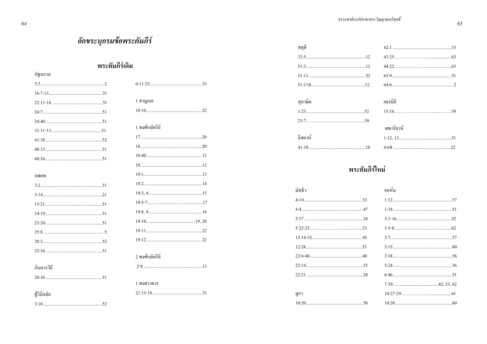## อักขระนุกรมข้อพระคัมภีร์

## พระคัมภีร์เดิม

| ปจมกาล |  |
|--------|--|
|        |  |

|             | 1 สามูเอล      |
|-------------|----------------|
|             |                |
|             |                |
|             | 1 พงศ์กษัตรีย์ |
|             |                |
|             |                |
|             |                |
|             |                |
| อพยพ        |                |
|             |                |
|             |                |
|             |                |
|             |                |
|             |                |
|             |                |
|             |                |
|             | 2 พงศ์กษัตรีย์ |
| กันดารวิถี  |                |
|             |                |
|             | 1 พงศาวดาร     |
| ผู้วินิจฉัย |                |
|             |                |

| ิสคคิ                                                                    |            |
|--------------------------------------------------------------------------|------------|
|                                                                          |            |
|                                                                          |            |
|                                                                          |            |
| $51:11$ $\frac{9}{2}$ $\frac{64:6}{2}$ $\frac{64:6}{2}$ $\frac{64:6}{2}$ |            |
|                                                                          |            |
| สุภาษิต                                                                  | เยเรมีย์   |
|                                                                          |            |
|                                                                          |            |
|                                                                          | เศการิยาห์ |
| อิสยาห์                                                                  |            |
|                                                                          |            |
|                                                                          |            |

## พระคัมภีร์ใหม่

| ม้ทธิว | ยอห์น |
|--------|-------|
|        |       |
|        |       |
|        |       |
|        |       |
|        |       |
|        |       |
|        |       |
|        |       |
|        |       |
|        |       |
| ้ดูกา  |       |
|        |       |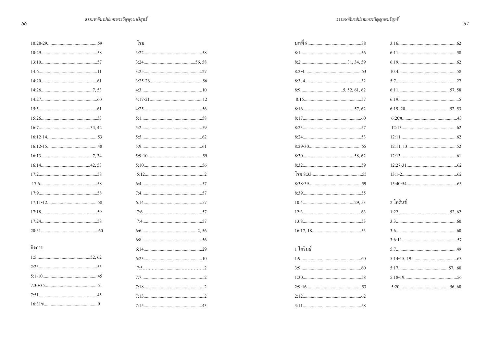|        | โรม      |
|--------|----------|
|        |          |
|        |          |
|        |          |
|        |          |
|        |          |
|        |          |
|        |          |
|        |          |
|        |          |
|        | $5:5$ 62 |
|        |          |
|        |          |
|        |          |
|        |          |
|        |          |
|        |          |
|        |          |
|        |          |
|        |          |
|        |          |
|        |          |
| กิจการ |          |
|        |          |
|        |          |
|        |          |
|        |          |
|        |          |
|        |          |

|           | $6:20$ $\frac{1}{3}$ |
|-----------|----------------------|
|           |                      |
|           |                      |
|           |                      |
|           |                      |
|           |                      |
|           |                      |
|           |                      |
|           |                      |
|           | 2 โครินธ์            |
|           |                      |
|           |                      |
|           |                      |
|           |                      |
| 1 โครินธ์ |                      |
|           |                      |
|           |                      |
|           |                      |
|           |                      |
|           |                      |
|           |                      |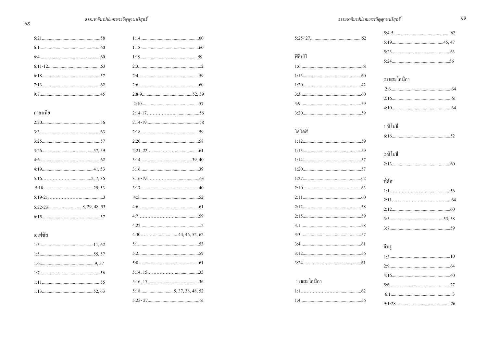ธรรมชาติบาปปะทะพระวิญญาณบริสุทธิ์

| กาลาเทีย |  |
|----------|--|
|          |  |
|          |  |
|          |  |
|          |  |
|          |  |
|          |  |
|          |  |
|          |  |
|          |  |
|          |  |
|          |  |
|          |  |
| เอเฟซัส  |  |
|          |  |
|          |  |
|          |  |
|          |  |
|          |  |
|          |  |
|          |  |

| ฟิลิปปิ             | 2 เธสะโลนิกา                           |
|---------------------|----------------------------------------|
| โคโลสี<br>$2:10$ 63 | 1 ทิโมธี<br>2 ทิโมธี<br>ทิตัส<br>1:156 |
|                     |                                        |
|                     | ฮีบรู                                  |
| 1 เธสะโลนิกา        |                                        |

ธรรมชาติบาปปะทะพระวิญญาณบริสุทธิ์

68